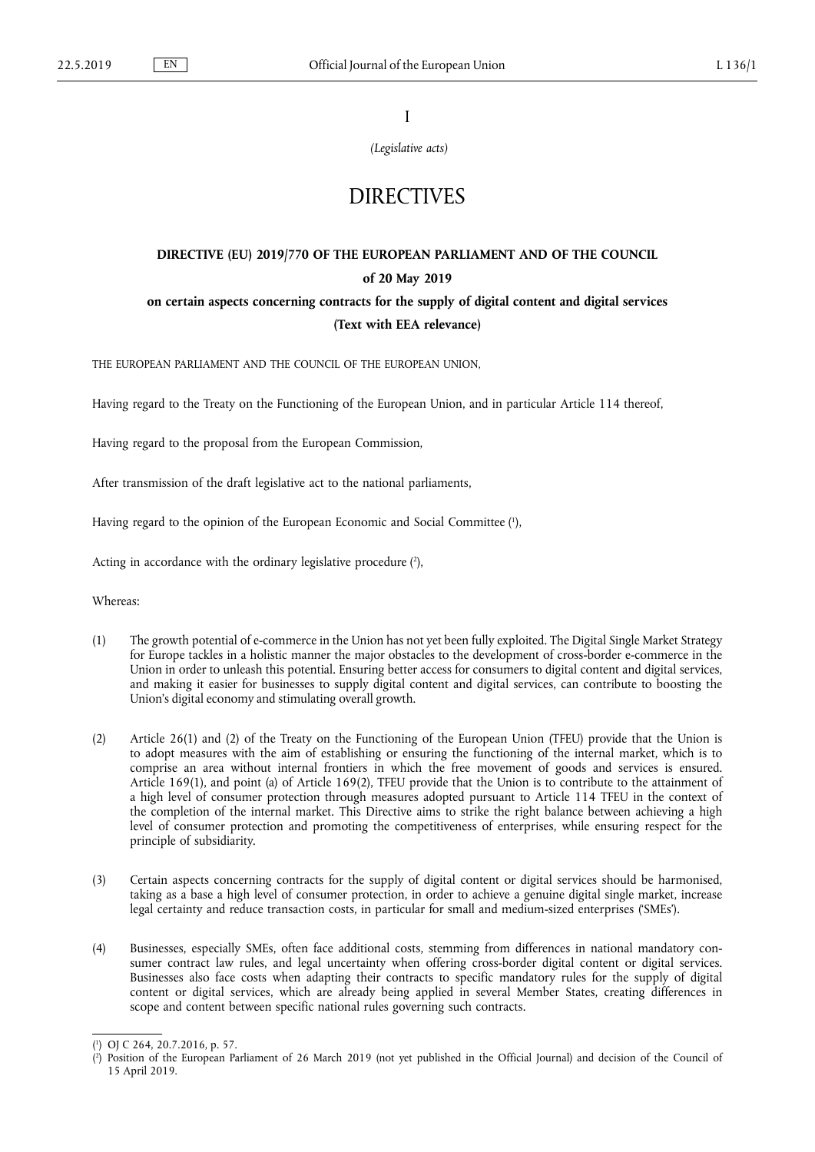I

*(Legislative acts)*

# DIRECTIVES

# **DIRECTIVE (EU) 2019/770 OF THE EUROPEAN PARLIAMENT AND OF THE COUNCIL of 20 May 2019 on certain aspects concerning contracts for the supply of digital content and digital services (Text with EEA relevance)**

THE EUROPEAN PARLIAMENT AND THE COUNCIL OF THE EUROPEAN UNION,

Having regard to the Treaty on the Functioning of the European Union, and in particular Article 114 thereof,

Having regard to the proposal from the European Commission,

After transmission of the draft legislative act to the national parliaments,

Having regard to the opinion of the European Economic and Social Committee (1),

Acting in accordance with the ordinary legislative procedure (2),

Whereas:

- (1) The growth potential of e-commerce in the Union has not yet been fully exploited. The Digital Single Market Strategy for Europe tackles in a holistic manner the major obstacles to the development of cross-border e-commerce in the Union in order to unleash this potential. Ensuring better access for consumers to digital content and digital services, and making it easier for businesses to supply digital content and digital services, can contribute to boosting the Union's digital economy and stimulating overall growth.
- (2) Article 26(1) and (2) of the Treaty on the Functioning of the European Union (TFEU) provide that the Union is to adopt measures with the aim of establishing or ensuring the functioning of the internal market, which is to comprise an area without internal frontiers in which the free movement of goods and services is ensured. Article 169(1), and point (a) of Article 169(2), TFEU provide that the Union is to contribute to the attainment of a high level of consumer protection through measures adopted pursuant to Article 114 TFEU in the context of the completion of the internal market. This Directive aims to strike the right balance between achieving a high level of consumer protection and promoting the competitiveness of enterprises, while ensuring respect for the principle of subsidiarity.
- (3) Certain aspects concerning contracts for the supply of digital content or digital services should be harmonised, taking as a base a high level of consumer protection, in order to achieve a genuine digital single market, increase legal certainty and reduce transaction costs, in particular for small and medium-sized enterprises ('SMEs').
- (4) Businesses, especially SMEs, often face additional costs, stemming from differences in national mandatory consumer contract law rules, and legal uncertainty when offering cross-border digital content or digital services. Businesses also face costs when adapting their contracts to specific mandatory rules for the supply of digital content or digital services, which are already being applied in several Member States, creating differences in scope and content between specific national rules governing such contracts.

<sup>(</sup> 1 ) OJ C 264, 20.7.2016, p. 57.

<sup>(</sup> 2 ) Position of the European Parliament of 26 March 2019 (not yet published in the Official Journal) and decision of the Council of 15 April 2019.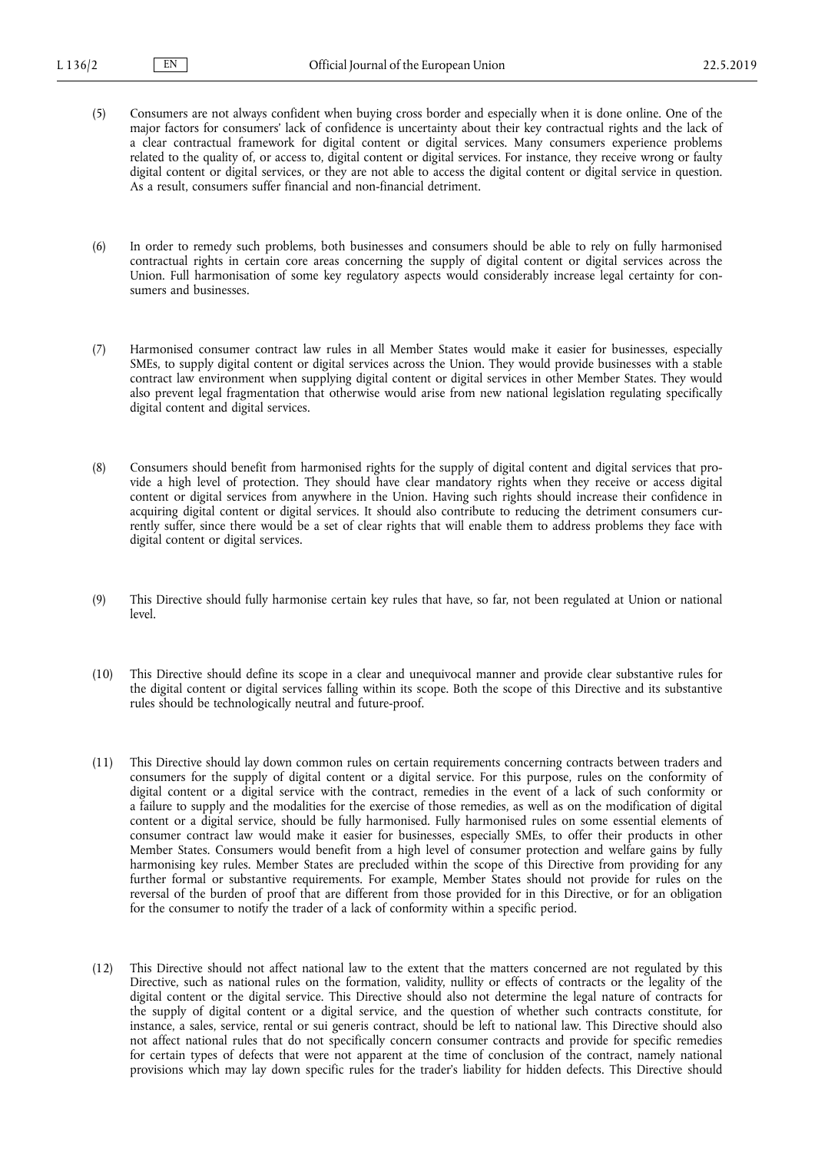- (5) Consumers are not always confident when buying cross border and especially when it is done online. One of the major factors for consumers' lack of confidence is uncertainty about their key contractual rights and the lack of a clear contractual framework for digital content or digital services. Many consumers experience problems related to the quality of, or access to, digital content or digital services. For instance, they receive wrong or faulty digital content or digital services, or they are not able to access the digital content or digital service in question. As a result, consumers suffer financial and non-financial detriment.
- (6) In order to remedy such problems, both businesses and consumers should be able to rely on fully harmonised contractual rights in certain core areas concerning the supply of digital content or digital services across the Union. Full harmonisation of some key regulatory aspects would considerably increase legal certainty for consumers and businesses.
- (7) Harmonised consumer contract law rules in all Member States would make it easier for businesses, especially SMEs, to supply digital content or digital services across the Union. They would provide businesses with a stable contract law environment when supplying digital content or digital services in other Member States. They would also prevent legal fragmentation that otherwise would arise from new national legislation regulating specifically digital content and digital services.
- (8) Consumers should benefit from harmonised rights for the supply of digital content and digital services that provide a high level of protection. They should have clear mandatory rights when they receive or access digital content or digital services from anywhere in the Union. Having such rights should increase their confidence in acquiring digital content or digital services. It should also contribute to reducing the detriment consumers currently suffer, since there would be a set of clear rights that will enable them to address problems they face with digital content or digital services.
- (9) This Directive should fully harmonise certain key rules that have, so far, not been regulated at Union or national level.
- (10) This Directive should define its scope in a clear and unequivocal manner and provide clear substantive rules for the digital content or digital services falling within its scope. Both the scope of this Directive and its substantive rules should be technologically neutral and future-proof.
- (11) This Directive should lay down common rules on certain requirements concerning contracts between traders and consumers for the supply of digital content or a digital service. For this purpose, rules on the conformity of digital content or a digital service with the contract, remedies in the event of a lack of such conformity or a failure to supply and the modalities for the exercise of those remedies, as well as on the modification of digital content or a digital service, should be fully harmonised. Fully harmonised rules on some essential elements of consumer contract law would make it easier for businesses, especially SMEs, to offer their products in other Member States. Consumers would benefit from a high level of consumer protection and welfare gains by fully harmonising key rules. Member States are precluded within the scope of this Directive from providing for any further formal or substantive requirements. For example, Member States should not provide for rules on the reversal of the burden of proof that are different from those provided for in this Directive, or for an obligation for the consumer to notify the trader of a lack of conformity within a specific period.
- (12) This Directive should not affect national law to the extent that the matters concerned are not regulated by this Directive, such as national rules on the formation, validity, nullity or effects of contracts or the legality of the digital content or the digital service. This Directive should also not determine the legal nature of contracts for the supply of digital content or a digital service, and the question of whether such contracts constitute, for instance, a sales, service, rental or sui generis contract, should be left to national law. This Directive should also not affect national rules that do not specifically concern consumer contracts and provide for specific remedies for certain types of defects that were not apparent at the time of conclusion of the contract, namely national provisions which may lay down specific rules for the trader's liability for hidden defects. This Directive should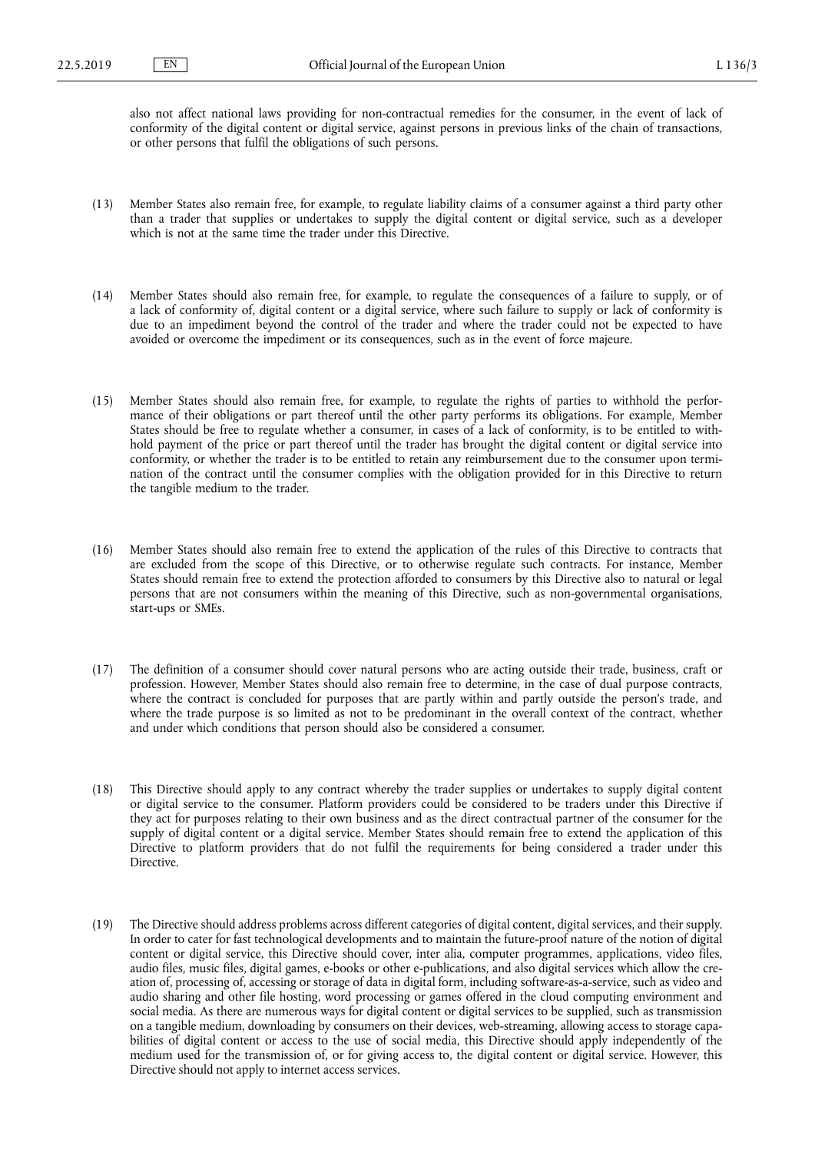also not affect national laws providing for non-contractual remedies for the consumer, in the event of lack of conformity of the digital content or digital service, against persons in previous links of the chain of transactions, or other persons that fulfil the obligations of such persons.

- (13) Member States also remain free, for example, to regulate liability claims of a consumer against a third party other than a trader that supplies or undertakes to supply the digital content or digital service, such as a developer which is not at the same time the trader under this Directive.
- (14) Member States should also remain free, for example, to regulate the consequences of a failure to supply, or of a lack of conformity of, digital content or a digital service, where such failure to supply or lack of conformity is due to an impediment beyond the control of the trader and where the trader could not be expected to have avoided or overcome the impediment or its consequences, such as in the event of force majeure.
- (15) Member States should also remain free, for example, to regulate the rights of parties to withhold the performance of their obligations or part thereof until the other party performs its obligations. For example, Member States should be free to regulate whether a consumer, in cases of a lack of conformity, is to be entitled to withhold payment of the price or part thereof until the trader has brought the digital content or digital service into conformity, or whether the trader is to be entitled to retain any reimbursement due to the consumer upon termination of the contract until the consumer complies with the obligation provided for in this Directive to return the tangible medium to the trader.
- (16) Member States should also remain free to extend the application of the rules of this Directive to contracts that are excluded from the scope of this Directive, or to otherwise regulate such contracts. For instance, Member States should remain free to extend the protection afforded to consumers by this Directive also to natural or legal persons that are not consumers within the meaning of this Directive, such as non-governmental organisations, start-ups or SMEs.
- (17) The definition of a consumer should cover natural persons who are acting outside their trade, business, craft or profession. However, Member States should also remain free to determine, in the case of dual purpose contracts, where the contract is concluded for purposes that are partly within and partly outside the person's trade, and where the trade purpose is so limited as not to be predominant in the overall context of the contract, whether and under which conditions that person should also be considered a consumer.
- (18) This Directive should apply to any contract whereby the trader supplies or undertakes to supply digital content or digital service to the consumer. Platform providers could be considered to be traders under this Directive if they act for purposes relating to their own business and as the direct contractual partner of the consumer for the supply of digital content or a digital service. Member States should remain free to extend the application of this Directive to platform providers that do not fulfil the requirements for being considered a trader under this Directive.
- (19) The Directive should address problems across different categories of digital content, digital services, and their supply. In order to cater for fast technological developments and to maintain the future-proof nature of the notion of digital content or digital service, this Directive should cover, inter alia, computer programmes, applications, video files, audio files, music files, digital games, e-books or other e-publications, and also digital services which allow the creation of, processing of, accessing or storage of data in digital form, including software-as-a-service, such as video and audio sharing and other file hosting, word processing or games offered in the cloud computing environment and social media. As there are numerous ways for digital content or digital services to be supplied, such as transmission on a tangible medium, downloading by consumers on their devices, web-streaming, allowing access to storage capabilities of digital content or access to the use of social media, this Directive should apply independently of the medium used for the transmission of, or for giving access to, the digital content or digital service. However, this Directive should not apply to internet access services.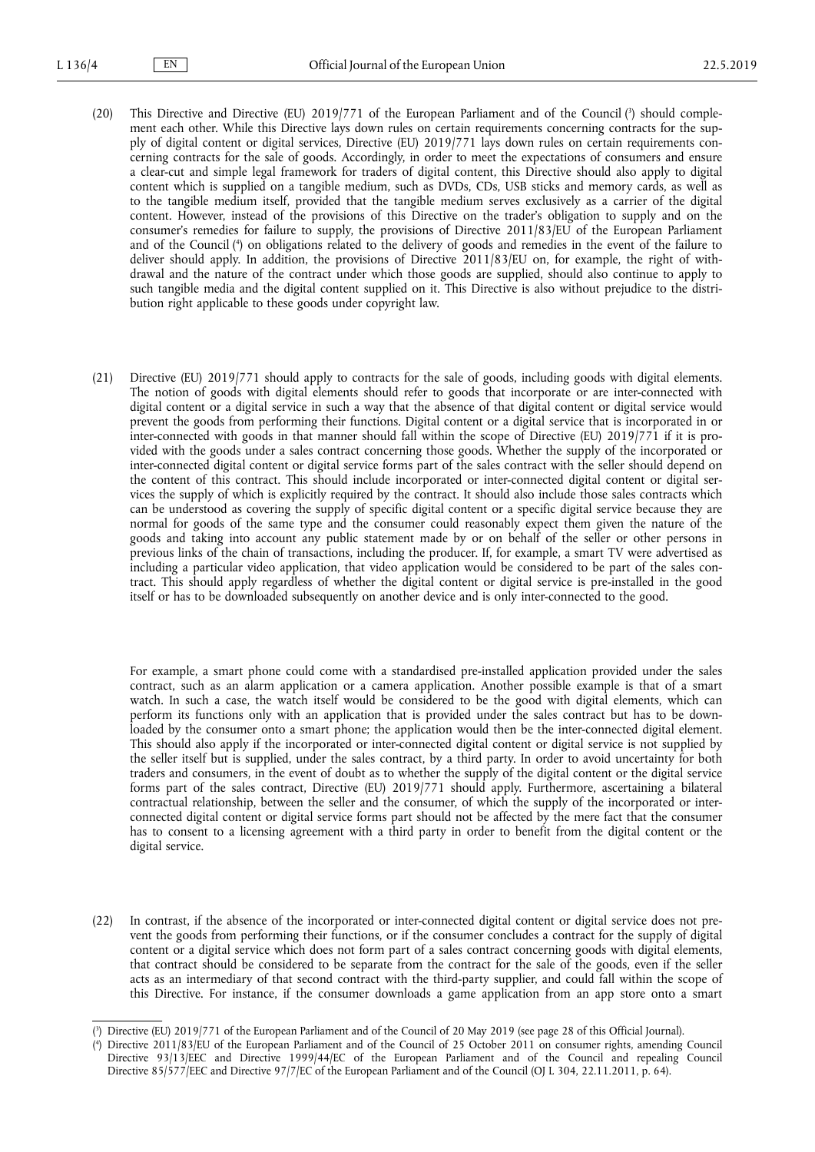- (20) This Directive and Directive (EU) 2019/771 of the European Parliament and of the Council (3) should complement each other. While this Directive lays down rules on certain requirements concerning contracts for the supply of digital content or digital services, Directive (EU) 2019/771 lays down rules on certain requirements concerning contracts for the sale of goods. Accordingly, in order to meet the expectations of consumers and ensure a clear-cut and simple legal framework for traders of digital content, this Directive should also apply to digital content which is supplied on a tangible medium, such as DVDs, CDs, USB sticks and memory cards, as well as to the tangible medium itself, provided that the tangible medium serves exclusively as a carrier of the digital content. However, instead of the provisions of this Directive on the trader's obligation to supply and on the consumer's remedies for failure to supply, the provisions of Directive 2011/83/EU of the European Parliament and of the Council ( 4 ) on obligations related to the delivery of goods and remedies in the event of the failure to deliver should apply. In addition, the provisions of Directive 2011/83/EU on, for example, the right of withdrawal and the nature of the contract under which those goods are supplied, should also continue to apply to such tangible media and the digital content supplied on it. This Directive is also without prejudice to the distribution right applicable to these goods under copyright law.
- (21) Directive (EU) 2019/771 should apply to contracts for the sale of goods, including goods with digital elements. The notion of goods with digital elements should refer to goods that incorporate or are inter-connected with digital content or a digital service in such a way that the absence of that digital content or digital service would prevent the goods from performing their functions. Digital content or a digital service that is incorporated in or inter-connected with goods in that manner should fall within the scope of Directive (EU) 2019/771 if it is provided with the goods under a sales contract concerning those goods. Whether the supply of the incorporated or inter-connected digital content or digital service forms part of the sales contract with the seller should depend on the content of this contract. This should include incorporated or inter-connected digital content or digital services the supply of which is explicitly required by the contract. It should also include those sales contracts which can be understood as covering the supply of specific digital content or a specific digital service because they are normal for goods of the same type and the consumer could reasonably expect them given the nature of the goods and taking into account any public statement made by or on behalf of the seller or other persons in previous links of the chain of transactions, including the producer. If, for example, a smart TV were advertised as including a particular video application, that video application would be considered to be part of the sales contract. This should apply regardless of whether the digital content or digital service is pre-installed in the good itself or has to be downloaded subsequently on another device and is only inter-connected to the good.

For example, a smart phone could come with a standardised pre-installed application provided under the sales contract, such as an alarm application or a camera application. Another possible example is that of a smart watch. In such a case, the watch itself would be considered to be the good with digital elements, which can perform its functions only with an application that is provided under the sales contract but has to be downloaded by the consumer onto a smart phone; the application would then be the inter-connected digital element. This should also apply if the incorporated or inter-connected digital content or digital service is not supplied by the seller itself but is supplied, under the sales contract, by a third party. In order to avoid uncertainty for both traders and consumers, in the event of doubt as to whether the supply of the digital content or the digital service forms part of the sales contract, Directive (EU) 2019/771 should apply. Furthermore, ascertaining a bilateral contractual relationship, between the seller and the consumer, of which the supply of the incorporated or interconnected digital content or digital service forms part should not be affected by the mere fact that the consumer has to consent to a licensing agreement with a third party in order to benefit from the digital content or the digital service.

(22) In contrast, if the absence of the incorporated or inter-connected digital content or digital service does not prevent the goods from performing their functions, or if the consumer concludes a contract for the supply of digital content or a digital service which does not form part of a sales contract concerning goods with digital elements, that contract should be considered to be separate from the contract for the sale of the goods, even if the seller acts as an intermediary of that second contract with the third-party supplier, and could fall within the scope of this Directive. For instance, if the consumer downloads a game application from an app store onto a smart

<sup>(</sup> 3 ) Directive (EU) 2019/771 of the European Parliament and of the Council of 20 May 2019 (see page 28 of this Official Journal).

<sup>(</sup> 4 ) Directive 2011/83/EU of the European Parliament and of the Council of 25 October 2011 on consumer rights, amending Council Directive 93/13/EEC and Directive 1999/44/EC of the European Parliament and of the Council and repealing Council Directive 85/577/EEC and Directive 97/7/EC of the European Parliament and of the Council (OJ L 304, 22.11.2011, p. 64).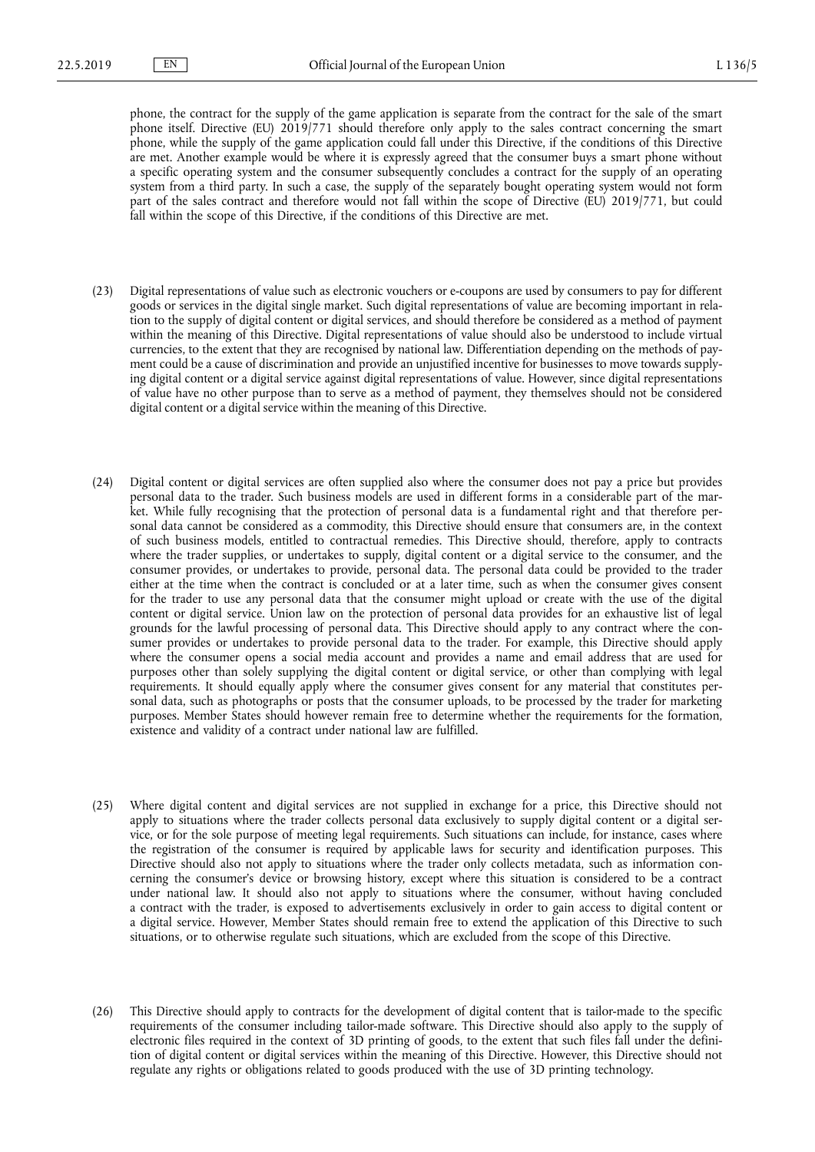phone, the contract for the supply of the game application is separate from the contract for the sale of the smart phone itself. Directive (EU) 2019/771 should therefore only apply to the sales contract concerning the smart phone, while the supply of the game application could fall under this Directive, if the conditions of this Directive are met. Another example would be where it is expressly agreed that the consumer buys a smart phone without a specific operating system and the consumer subsequently concludes a contract for the supply of an operating system from a third party. In such a case, the supply of the separately bought operating system would not form part of the sales contract and therefore would not fall within the scope of Directive (EU) 2019/771, but could fall within the scope of this Directive, if the conditions of this Directive are met.

- (23) Digital representations of value such as electronic vouchers or e-coupons are used by consumers to pay for different goods or services in the digital single market. Such digital representations of value are becoming important in relation to the supply of digital content or digital services, and should therefore be considered as a method of payment within the meaning of this Directive. Digital representations of value should also be understood to include virtual currencies, to the extent that they are recognised by national law. Differentiation depending on the methods of payment could be a cause of discrimination and provide an unjustified incentive for businesses to move towards supplying digital content or a digital service against digital representations of value. However, since digital representations of value have no other purpose than to serve as a method of payment, they themselves should not be considered digital content or a digital service within the meaning of this Directive.
- (24) Digital content or digital services are often supplied also where the consumer does not pay a price but provides personal data to the trader. Such business models are used in different forms in a considerable part of the market. While fully recognising that the protection of personal data is a fundamental right and that therefore personal data cannot be considered as a commodity, this Directive should ensure that consumers are, in the context of such business models, entitled to contractual remedies. This Directive should, therefore, apply to contracts where the trader supplies, or undertakes to supply, digital content or a digital service to the consumer, and the consumer provides, or undertakes to provide, personal data. The personal data could be provided to the trader either at the time when the contract is concluded or at a later time, such as when the consumer gives consent for the trader to use any personal data that the consumer might upload or create with the use of the digital content or digital service. Union law on the protection of personal data provides for an exhaustive list of legal grounds for the lawful processing of personal data. This Directive should apply to any contract where the consumer provides or undertakes to provide personal data to the trader. For example, this Directive should apply where the consumer opens a social media account and provides a name and email address that are used for purposes other than solely supplying the digital content or digital service, or other than complying with legal requirements. It should equally apply where the consumer gives consent for any material that constitutes personal data, such as photographs or posts that the consumer uploads, to be processed by the trader for marketing purposes. Member States should however remain free to determine whether the requirements for the formation, existence and validity of a contract under national law are fulfilled.
- (25) Where digital content and digital services are not supplied in exchange for a price, this Directive should not apply to situations where the trader collects personal data exclusively to supply digital content or a digital service, or for the sole purpose of meeting legal requirements. Such situations can include, for instance, cases where the registration of the consumer is required by applicable laws for security and identification purposes. This Directive should also not apply to situations where the trader only collects metadata, such as information concerning the consumer's device or browsing history, except where this situation is considered to be a contract under national law. It should also not apply to situations where the consumer, without having concluded a contract with the trader, is exposed to advertisements exclusively in order to gain access to digital content or a digital service. However, Member States should remain free to extend the application of this Directive to such situations, or to otherwise regulate such situations, which are excluded from the scope of this Directive.
- (26) This Directive should apply to contracts for the development of digital content that is tailor-made to the specific requirements of the consumer including tailor-made software. This Directive should also apply to the supply of electronic files required in the context of 3D printing of goods, to the extent that such files fall under the definition of digital content or digital services within the meaning of this Directive. However, this Directive should not regulate any rights or obligations related to goods produced with the use of 3D printing technology.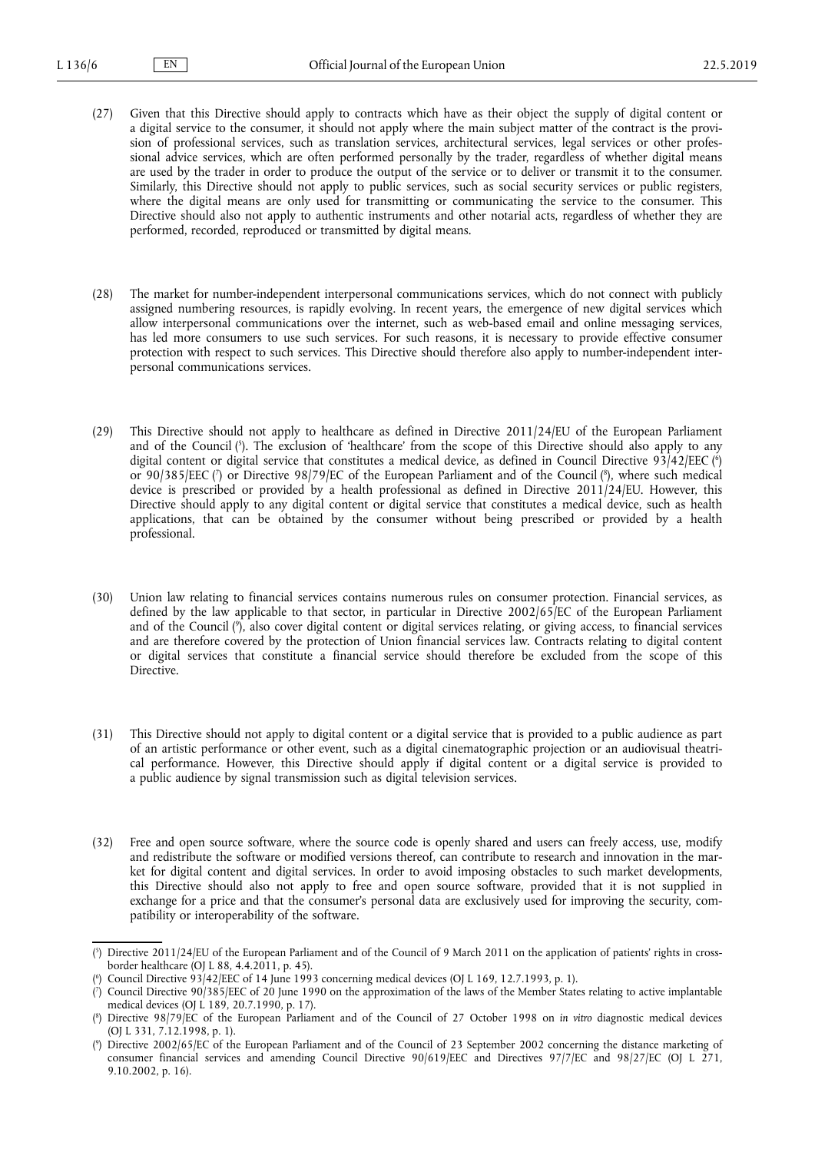- (27) Given that this Directive should apply to contracts which have as their object the supply of digital content or a digital service to the consumer, it should not apply where the main subject matter of the contract is the provision of professional services, such as translation services, architectural services, legal services or other professional advice services, which are often performed personally by the trader, regardless of whether digital means are used by the trader in order to produce the output of the service or to deliver or transmit it to the consumer. Similarly, this Directive should not apply to public services, such as social security services or public registers, where the digital means are only used for transmitting or communicating the service to the consumer. This Directive should also not apply to authentic instruments and other notarial acts, regardless of whether they are performed, recorded, reproduced or transmitted by digital means.
- (28) The market for number-independent interpersonal communications services, which do not connect with publicly assigned numbering resources, is rapidly evolving. In recent years, the emergence of new digital services which allow interpersonal communications over the internet, such as web-based email and online messaging services, has led more consumers to use such services. For such reasons, it is necessary to provide effective consumer protection with respect to such services. This Directive should therefore also apply to number-independent interpersonal communications services.
- (29) This Directive should not apply to healthcare as defined in Directive 2011/24/EU of the European Parliament and of the Council ( 5 ). The exclusion of 'healthcare' from the scope of this Directive should also apply to any digital content or digital service that constitutes a medical device, as defined in Council Directive 93/42/EEC ( 6 ) or 90/385/EEC (7) or Directive 98/79/EC of the European Parliament and of the Council (8), where such medical device is prescribed or provided by a health professional as defined in Directive 2011/24/EU. However, this Directive should apply to any digital content or digital service that constitutes a medical device, such as health applications, that can be obtained by the consumer without being prescribed or provided by a health professional.
- (30) Union law relating to financial services contains numerous rules on consumer protection. Financial services, as defined by the law applicable to that sector, in particular in Directive 2002/65/EC of the European Parliament and of the Council ( 9 ), also cover digital content or digital services relating, or giving access, to financial services and are therefore covered by the protection of Union financial services law. Contracts relating to digital content or digital services that constitute a financial service should therefore be excluded from the scope of this Directive.
- (31) This Directive should not apply to digital content or a digital service that is provided to a public audience as part of an artistic performance or other event, such as a digital cinematographic projection or an audiovisual theatrical performance. However, this Directive should apply if digital content or a digital service is provided to a public audience by signal transmission such as digital television services.
- (32) Free and open source software, where the source code is openly shared and users can freely access, use, modify and redistribute the software or modified versions thereof, can contribute to research and innovation in the market for digital content and digital services. In order to avoid imposing obstacles to such market developments, this Directive should also not apply to free and open source software, provided that it is not supplied in exchange for a price and that the consumer's personal data are exclusively used for improving the security, compatibility or interoperability of the software.

<sup>(</sup> 5 ) Directive 2011/24/EU of the European Parliament and of the Council of 9 March 2011 on the application of patients' rights in crossborder healthcare (OJ L 88, 4.4.2011, p. 45).

<sup>(</sup> 6 ) Council Directive 93/42/EEC of 14 June 1993 concerning medical devices (OJ L 169, 12.7.1993, p. 1).

<sup>(</sup> 7 ) Council Directive 90/385/EEC of 20 June 1990 on the approximation of the laws of the Member States relating to active implantable medical devices (OJ L 189, 20.7.1990, p. 17).

<sup>(</sup> 8 ) Directive 98/79/EC of the European Parliament and of the Council of 27 October 1998 on *in vitro* diagnostic medical devices (OJ L 331, 7.12.1998, p. 1).

<sup>(</sup> 9 ) Directive 2002/65/EC of the European Parliament and of the Council of 23 September 2002 concerning the distance marketing of consumer financial services and amending Council Directive 90/619/EEC and Directives 97/7/EC and 98/27/EC (OJ L 271, 9.10.2002, p. 16).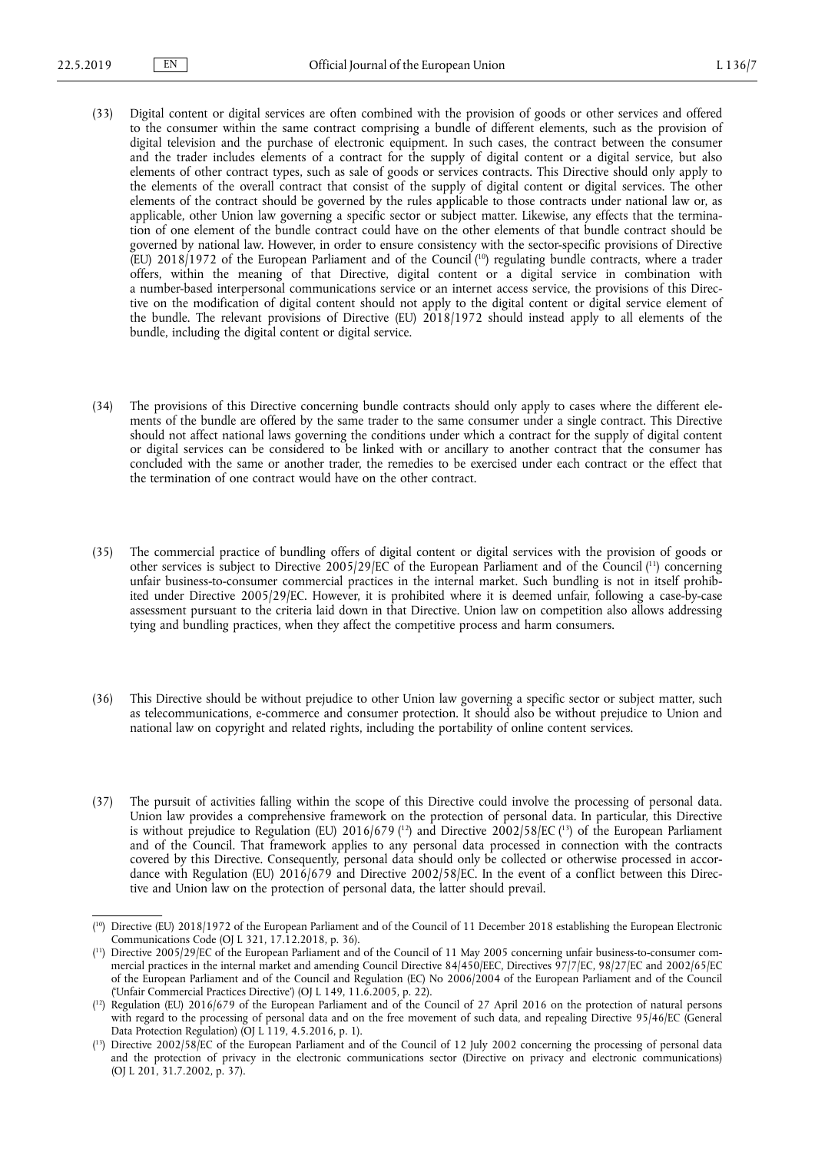- (33) Digital content or digital services are often combined with the provision of goods or other services and offered to the consumer within the same contract comprising a bundle of different elements, such as the provision of digital television and the purchase of electronic equipment. In such cases, the contract between the consumer and the trader includes elements of a contract for the supply of digital content or a digital service, but also elements of other contract types, such as sale of goods or services contracts. This Directive should only apply to the elements of the overall contract that consist of the supply of digital content or digital services. The other elements of the contract should be governed by the rules applicable to those contracts under national law or, as applicable, other Union law governing a specific sector or subject matter. Likewise, any effects that the termination of one element of the bundle contract could have on the other elements of that bundle contract should be governed by national law. However, in order to ensure consistency with the sector-specific provisions of Directive (EU) 2018/1972 of the European Parliament and of the Council ( <sup>10</sup>) regulating bundle contracts, where a trader offers, within the meaning of that Directive, digital content or a digital service in combination with a number-based interpersonal communications service or an internet access service, the provisions of this Directive on the modification of digital content should not apply to the digital content or digital service element of the bundle. The relevant provisions of Directive (EU) 2018/1972 should instead apply to all elements of the bundle, including the digital content or digital service.
- (34) The provisions of this Directive concerning bundle contracts should only apply to cases where the different elements of the bundle are offered by the same trader to the same consumer under a single contract. This Directive should not affect national laws governing the conditions under which a contract for the supply of digital content or digital services can be considered to be linked with or ancillary to another contract that the consumer has concluded with the same or another trader, the remedies to be exercised under each contract or the effect that the termination of one contract would have on the other contract.
- (35) The commercial practice of bundling offers of digital content or digital services with the provision of goods or other services is subject to Directive 2005/29/EC of the European Parliament and of the Council ( <sup>11</sup>) concerning unfair business-to-consumer commercial practices in the internal market. Such bundling is not in itself prohibited under Directive 2005/29/EC. However, it is prohibited where it is deemed unfair, following a case-by-case assessment pursuant to the criteria laid down in that Directive. Union law on competition also allows addressing tying and bundling practices, when they affect the competitive process and harm consumers.
- (36) This Directive should be without prejudice to other Union law governing a specific sector or subject matter, such as telecommunications, e-commerce and consumer protection. It should also be without prejudice to Union and national law on copyright and related rights, including the portability of online content services.
- (37) The pursuit of activities falling within the scope of this Directive could involve the processing of personal data. Union law provides a comprehensive framework on the protection of personal data. In particular, this Directive is without prejudice to Regulation (EU)  $2016/679$  (<sup>12</sup>) and Directive  $2002/58/EC$  (<sup>13</sup>) of the European Parliament and of the Council. That framework applies to any personal data processed in connection with the contracts covered by this Directive. Consequently, personal data should only be collected or otherwise processed in accordance with Regulation (EU) 2016/679 and Directive 2002/58/EC. In the event of a conflict between this Directive and Union law on the protection of personal data, the latter should prevail.

<sup>(</sup> <sup>10</sup>) Directive (EU) 2018/1972 of the European Parliament and of the Council of 11 December 2018 establishing the European Electronic Communications Code (OJ L 321, 17.12.2018, p. 36).

<sup>(</sup> <sup>11</sup>) Directive 2005/29/EC of the European Parliament and of the Council of 11 May 2005 concerning unfair business-to-consumer commercial practices in the internal market and amending Council Directive 84/450/EEC, Directives 97/7/EC, 98/27/EC and 2002/65/EC of the European Parliament and of the Council and Regulation (EC) No 2006/2004 of the European Parliament and of the Council ('Unfair Commercial Practices Directive') (OJ L 149, 11.6.2005, p. 22).

<sup>(</sup> <sup>12</sup>) Regulation (EU) 2016/679 of the European Parliament and of the Council of 27 April 2016 on the protection of natural persons with regard to the processing of personal data and on the free movement of such data, and repealing Directive 95/46/EC (General Data Protection Regulation) (OJ L 119, 4.5.2016, p. 1).

<sup>(</sup> <sup>13</sup>) Directive 2002/58/EC of the European Parliament and of the Council of 12 July 2002 concerning the processing of personal data and the protection of privacy in the electronic communications sector (Directive on privacy and electronic communications) (OJ L 201, 31.7.2002, p. 37).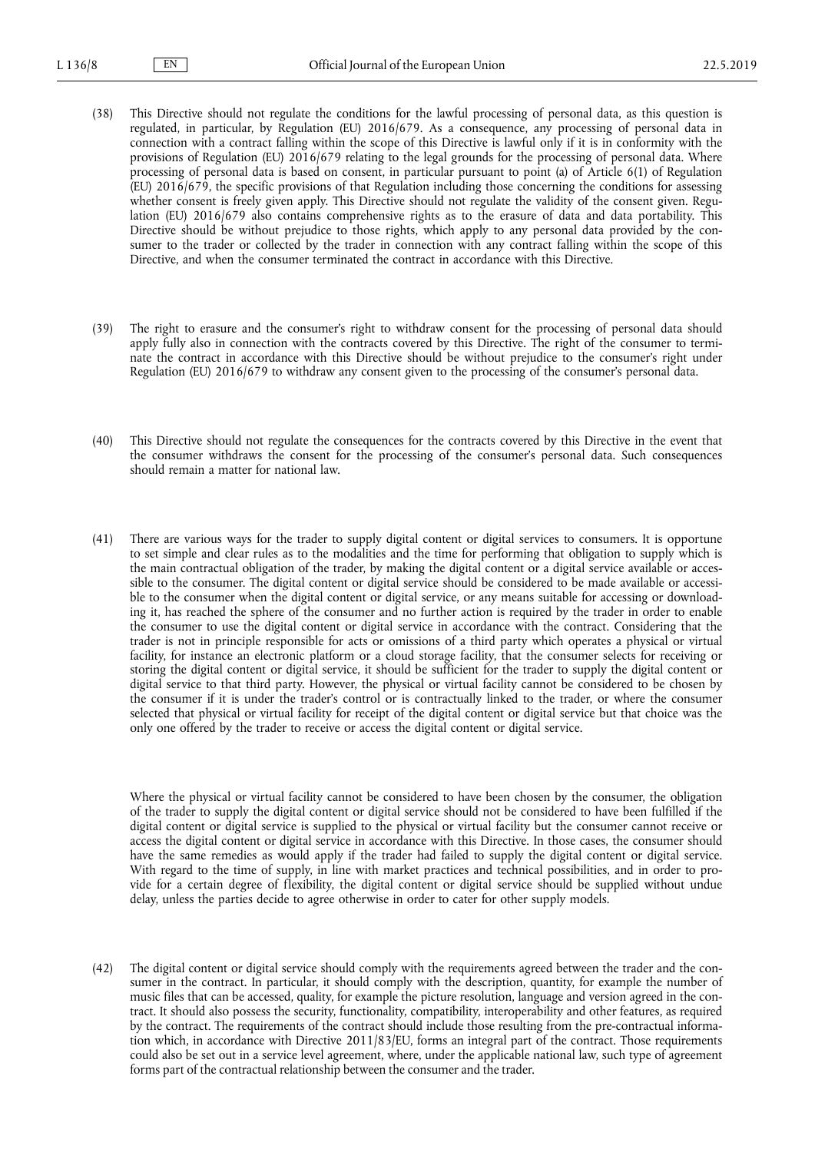- (38) This Directive should not regulate the conditions for the lawful processing of personal data, as this question is regulated, in particular, by Regulation (EU) 2016/679. As a consequence, any processing of personal data in connection with a contract falling within the scope of this Directive is lawful only if it is in conformity with the provisions of Regulation (EU) 2016/679 relating to the legal grounds for the processing of personal data. Where processing of personal data is based on consent, in particular pursuant to point (a) of Article 6(1) of Regulation (EU) 2016/679, the specific provisions of that Regulation including those concerning the conditions for assessing whether consent is freely given apply. This Directive should not regulate the validity of the consent given. Regulation (EU) 2016/679 also contains comprehensive rights as to the erasure of data and data portability. This Directive should be without prejudice to those rights, which apply to any personal data provided by the consumer to the trader or collected by the trader in connection with any contract falling within the scope of this Directive, and when the consumer terminated the contract in accordance with this Directive.
- (39) The right to erasure and the consumer's right to withdraw consent for the processing of personal data should apply fully also in connection with the contracts covered by this Directive. The right of the consumer to terminate the contract in accordance with this Directive should be without prejudice to the consumer's right under Regulation (EU) 2016/679 to withdraw any consent given to the processing of the consumer's personal data.
- (40) This Directive should not regulate the consequences for the contracts covered by this Directive in the event that the consumer withdraws the consent for the processing of the consumer's personal data. Such consequences should remain a matter for national law.
- (41) There are various ways for the trader to supply digital content or digital services to consumers. It is opportune to set simple and clear rules as to the modalities and the time for performing that obligation to supply which is the main contractual obligation of the trader, by making the digital content or a digital service available or accessible to the consumer. The digital content or digital service should be considered to be made available or accessible to the consumer when the digital content or digital service, or any means suitable for accessing or downloading it, has reached the sphere of the consumer and no further action is required by the trader in order to enable the consumer to use the digital content or digital service in accordance with the contract. Considering that the trader is not in principle responsible for acts or omissions of a third party which operates a physical or virtual facility, for instance an electronic platform or a cloud storage facility, that the consumer selects for receiving or storing the digital content or digital service, it should be sufficient for the trader to supply the digital content or digital service to that third party. However, the physical or virtual facility cannot be considered to be chosen by the consumer if it is under the trader's control or is contractually linked to the trader, or where the consumer selected that physical or virtual facility for receipt of the digital content or digital service but that choice was the only one offered by the trader to receive or access the digital content or digital service.

Where the physical or virtual facility cannot be considered to have been chosen by the consumer, the obligation of the trader to supply the digital content or digital service should not be considered to have been fulfilled if the digital content or digital service is supplied to the physical or virtual facility but the consumer cannot receive or access the digital content or digital service in accordance with this Directive. In those cases, the consumer should have the same remedies as would apply if the trader had failed to supply the digital content or digital service. With regard to the time of supply, in line with market practices and technical possibilities, and in order to provide for a certain degree of flexibility, the digital content or digital service should be supplied without undue delay, unless the parties decide to agree otherwise in order to cater for other supply models.

(42) The digital content or digital service should comply with the requirements agreed between the trader and the consumer in the contract. In particular, it should comply with the description, quantity, for example the number of music files that can be accessed, quality, for example the picture resolution, language and version agreed in the contract. It should also possess the security, functionality, compatibility, interoperability and other features, as required by the contract. The requirements of the contract should include those resulting from the pre-contractual information which, in accordance with Directive 2011/83/EU, forms an integral part of the contract. Those requirements could also be set out in a service level agreement, where, under the applicable national law, such type of agreement forms part of the contractual relationship between the consumer and the trader.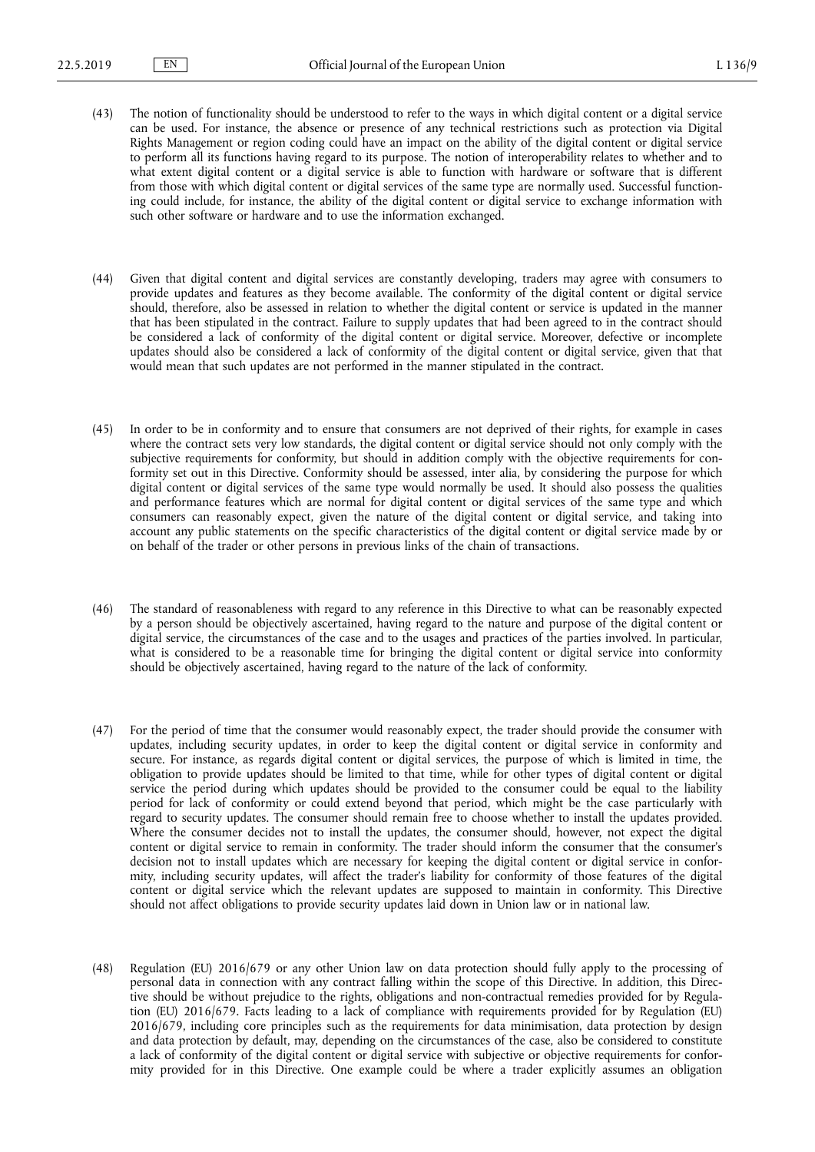- (43) The notion of functionality should be understood to refer to the ways in which digital content or a digital service can be used. For instance, the absence or presence of any technical restrictions such as protection via Digital Rights Management or region coding could have an impact on the ability of the digital content or digital service to perform all its functions having regard to its purpose. The notion of interoperability relates to whether and to what extent digital content or a digital service is able to function with hardware or software that is different from those with which digital content or digital services of the same type are normally used. Successful functioning could include, for instance, the ability of the digital content or digital service to exchange information with such other software or hardware and to use the information exchanged.
- (44) Given that digital content and digital services are constantly developing, traders may agree with consumers to provide updates and features as they become available. The conformity of the digital content or digital service should, therefore, also be assessed in relation to whether the digital content or service is updated in the manner that has been stipulated in the contract. Failure to supply updates that had been agreed to in the contract should be considered a lack of conformity of the digital content or digital service. Moreover, defective or incomplete updates should also be considered a lack of conformity of the digital content or digital service, given that that would mean that such updates are not performed in the manner stipulated in the contract.
- (45) In order to be in conformity and to ensure that consumers are not deprived of their rights, for example in cases where the contract sets very low standards, the digital content or digital service should not only comply with the subjective requirements for conformity, but should in addition comply with the objective requirements for conformity set out in this Directive. Conformity should be assessed, inter alia, by considering the purpose for which digital content or digital services of the same type would normally be used. It should also possess the qualities and performance features which are normal for digital content or digital services of the same type and which consumers can reasonably expect, given the nature of the digital content or digital service, and taking into account any public statements on the specific characteristics of the digital content or digital service made by or on behalf of the trader or other persons in previous links of the chain of transactions.
- (46) The standard of reasonableness with regard to any reference in this Directive to what can be reasonably expected by a person should be objectively ascertained, having regard to the nature and purpose of the digital content or digital service, the circumstances of the case and to the usages and practices of the parties involved. In particular, what is considered to be a reasonable time for bringing the digital content or digital service into conformity should be objectively ascertained, having regard to the nature of the lack of conformity.
- (47) For the period of time that the consumer would reasonably expect, the trader should provide the consumer with updates, including security updates, in order to keep the digital content or digital service in conformity and secure. For instance, as regards digital content or digital services, the purpose of which is limited in time, the obligation to provide updates should be limited to that time, while for other types of digital content or digital service the period during which updates should be provided to the consumer could be equal to the liability period for lack of conformity or could extend beyond that period, which might be the case particularly with regard to security updates. The consumer should remain free to choose whether to install the updates provided. Where the consumer decides not to install the updates, the consumer should, however, not expect the digital content or digital service to remain in conformity. The trader should inform the consumer that the consumer's decision not to install updates which are necessary for keeping the digital content or digital service in conformity, including security updates, will affect the trader's liability for conformity of those features of the digital content or digital service which the relevant updates are supposed to maintain in conformity. This Directive should not affect obligations to provide security updates laid down in Union law or in national law.
- (48) Regulation (EU) 2016/679 or any other Union law on data protection should fully apply to the processing of personal data in connection with any contract falling within the scope of this Directive. In addition, this Directive should be without prejudice to the rights, obligations and non-contractual remedies provided for by Regulation (EU) 2016/679. Facts leading to a lack of compliance with requirements provided for by Regulation (EU) 2016/679, including core principles such as the requirements for data minimisation, data protection by design and data protection by default, may, depending on the circumstances of the case, also be considered to constitute a lack of conformity of the digital content or digital service with subjective or objective requirements for conformity provided for in this Directive. One example could be where a trader explicitly assumes an obligation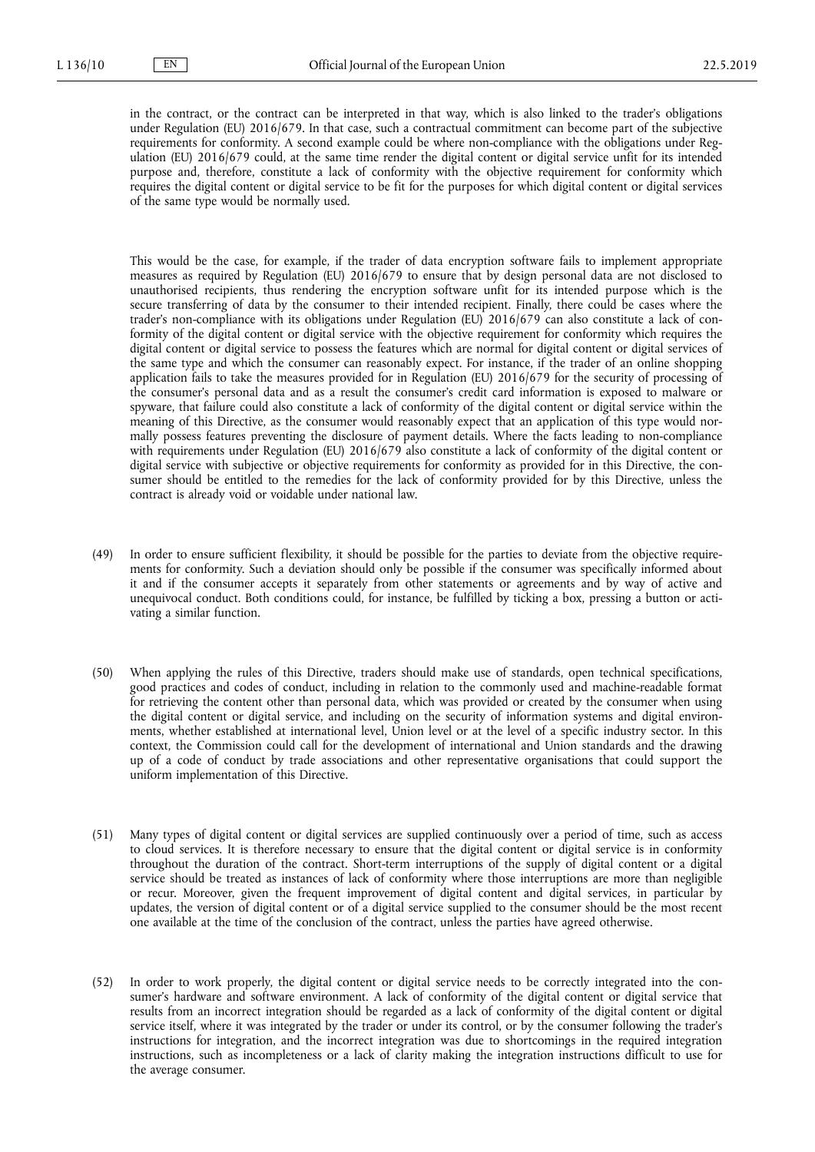in the contract, or the contract can be interpreted in that way, which is also linked to the trader's obligations under Regulation (EU) 2016/679. In that case, such a contractual commitment can become part of the subjective requirements for conformity. A second example could be where non-compliance with the obligations under Regulation (EU) 2016/679 could, at the same time render the digital content or digital service unfit for its intended purpose and, therefore, constitute a lack of conformity with the objective requirement for conformity which requires the digital content or digital service to be fit for the purposes for which digital content or digital services of the same type would be normally used.

This would be the case, for example, if the trader of data encryption software fails to implement appropriate measures as required by Regulation (EU) 2016/679 to ensure that by design personal data are not disclosed to unauthorised recipients, thus rendering the encryption software unfit for its intended purpose which is the secure transferring of data by the consumer to their intended recipient. Finally, there could be cases where the trader's non-compliance with its obligations under Regulation (EU) 2016/679 can also constitute a lack of conformity of the digital content or digital service with the objective requirement for conformity which requires the digital content or digital service to possess the features which are normal for digital content or digital services of the same type and which the consumer can reasonably expect. For instance, if the trader of an online shopping application fails to take the measures provided for in Regulation (EU) 2016/679 for the security of processing of the consumer's personal data and as a result the consumer's credit card information is exposed to malware or spyware, that failure could also constitute a lack of conformity of the digital content or digital service within the meaning of this Directive, as the consumer would reasonably expect that an application of this type would normally possess features preventing the disclosure of payment details. Where the facts leading to non-compliance with requirements under Regulation (EU) 2016/679 also constitute a lack of conformity of the digital content or digital service with subjective or objective requirements for conformity as provided for in this Directive, the consumer should be entitled to the remedies for the lack of conformity provided for by this Directive, unless the contract is already void or voidable under national law.

- (49) In order to ensure sufficient flexibility, it should be possible for the parties to deviate from the objective requirements for conformity. Such a deviation should only be possible if the consumer was specifically informed about it and if the consumer accepts it separately from other statements or agreements and by way of active and unequivocal conduct. Both conditions could, for instance, be fulfilled by ticking a box, pressing a button or activating a similar function.
- (50) When applying the rules of this Directive, traders should make use of standards, open technical specifications, good practices and codes of conduct, including in relation to the commonly used and machine-readable format for retrieving the content other than personal data, which was provided or created by the consumer when using the digital content or digital service, and including on the security of information systems and digital environments, whether established at international level, Union level or at the level of a specific industry sector. In this context, the Commission could call for the development of international and Union standards and the drawing up of a code of conduct by trade associations and other representative organisations that could support the uniform implementation of this Directive.
- (51) Many types of digital content or digital services are supplied continuously over a period of time, such as access to cloud services. It is therefore necessary to ensure that the digital content or digital service is in conformity throughout the duration of the contract. Short-term interruptions of the supply of digital content or a digital service should be treated as instances of lack of conformity where those interruptions are more than negligible or recur. Moreover, given the frequent improvement of digital content and digital services, in particular by updates, the version of digital content or of a digital service supplied to the consumer should be the most recent one available at the time of the conclusion of the contract, unless the parties have agreed otherwise.
- (52) In order to work properly, the digital content or digital service needs to be correctly integrated into the consumer's hardware and software environment. A lack of conformity of the digital content or digital service that results from an incorrect integration should be regarded as a lack of conformity of the digital content or digital service itself, where it was integrated by the trader or under its control, or by the consumer following the trader's instructions for integration, and the incorrect integration was due to shortcomings in the required integration instructions, such as incompleteness or a lack of clarity making the integration instructions difficult to use for the average consumer.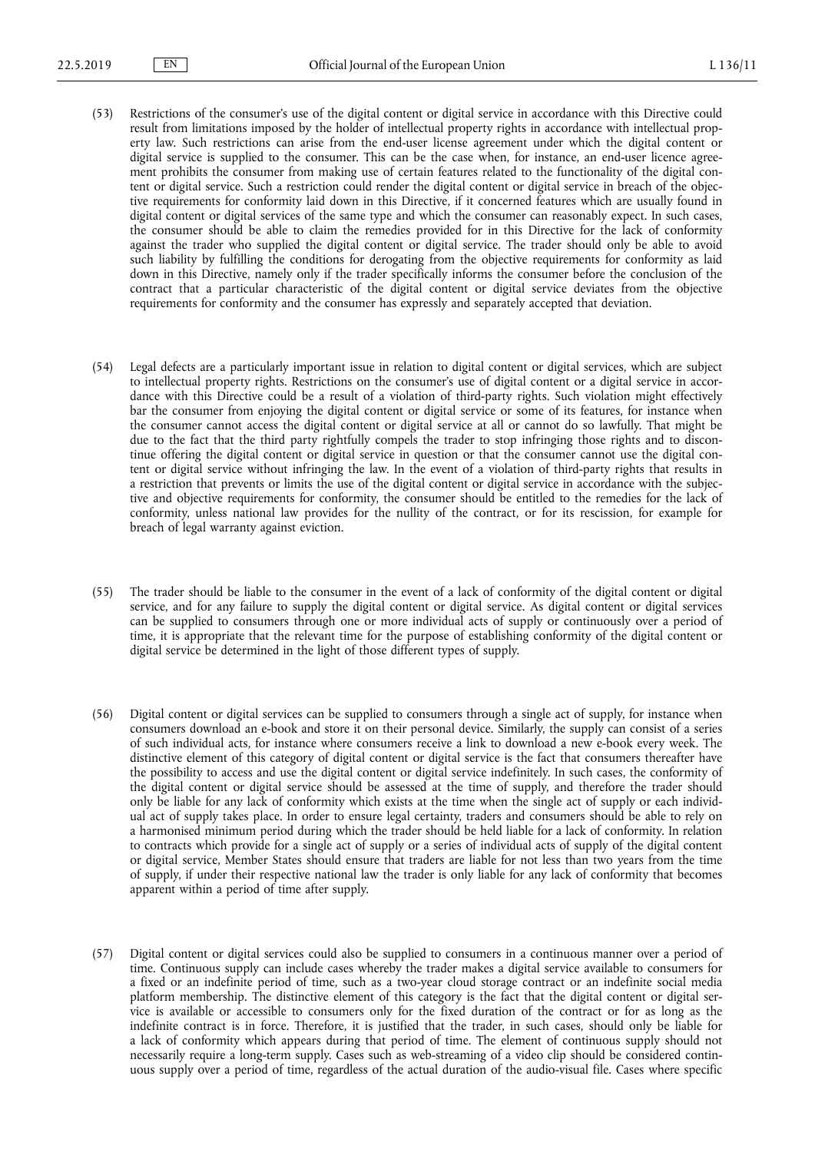- (53) Restrictions of the consumer's use of the digital content or digital service in accordance with this Directive could result from limitations imposed by the holder of intellectual property rights in accordance with intellectual property law. Such restrictions can arise from the end-user license agreement under which the digital content or digital service is supplied to the consumer. This can be the case when, for instance, an end-user licence agreement prohibits the consumer from making use of certain features related to the functionality of the digital content or digital service. Such a restriction could render the digital content or digital service in breach of the objective requirements for conformity laid down in this Directive, if it concerned features which are usually found in digital content or digital services of the same type and which the consumer can reasonably expect. In such cases, the consumer should be able to claim the remedies provided for in this Directive for the lack of conformity against the trader who supplied the digital content or digital service. The trader should only be able to avoid such liability by fulfilling the conditions for derogating from the objective requirements for conformity as laid down in this Directive, namely only if the trader specifically informs the consumer before the conclusion of the contract that a particular characteristic of the digital content or digital service deviates from the objective requirements for conformity and the consumer has expressly and separately accepted that deviation.
- (54) Legal defects are a particularly important issue in relation to digital content or digital services, which are subject to intellectual property rights. Restrictions on the consumer's use of digital content or a digital service in accordance with this Directive could be a result of a violation of third-party rights. Such violation might effectively bar the consumer from enjoying the digital content or digital service or some of its features, for instance when the consumer cannot access the digital content or digital service at all or cannot do so lawfully. That might be due to the fact that the third party rightfully compels the trader to stop infringing those rights and to discontinue offering the digital content or digital service in question or that the consumer cannot use the digital content or digital service without infringing the law. In the event of a violation of third-party rights that results in a restriction that prevents or limits the use of the digital content or digital service in accordance with the subjective and objective requirements for conformity, the consumer should be entitled to the remedies for the lack of conformity, unless national law provides for the nullity of the contract, or for its rescission, for example for breach of legal warranty against eviction.
- (55) The trader should be liable to the consumer in the event of a lack of conformity of the digital content or digital service, and for any failure to supply the digital content or digital service. As digital content or digital services can be supplied to consumers through one or more individual acts of supply or continuously over a period of time, it is appropriate that the relevant time for the purpose of establishing conformity of the digital content or digital service be determined in the light of those different types of supply.
- (56) Digital content or digital services can be supplied to consumers through a single act of supply, for instance when consumers download an e-book and store it on their personal device. Similarly, the supply can consist of a series of such individual acts, for instance where consumers receive a link to download a new e-book every week. The distinctive element of this category of digital content or digital service is the fact that consumers thereafter have the possibility to access and use the digital content or digital service indefinitely. In such cases, the conformity of the digital content or digital service should be assessed at the time of supply, and therefore the trader should only be liable for any lack of conformity which exists at the time when the single act of supply or each individual act of supply takes place. In order to ensure legal certainty, traders and consumers should be able to rely on a harmonised minimum period during which the trader should be held liable for a lack of conformity. In relation to contracts which provide for a single act of supply or a series of individual acts of supply of the digital content or digital service, Member States should ensure that traders are liable for not less than two years from the time of supply, if under their respective national law the trader is only liable for any lack of conformity that becomes apparent within a period of time after supply.
- (57) Digital content or digital services could also be supplied to consumers in a continuous manner over a period of time. Continuous supply can include cases whereby the trader makes a digital service available to consumers for a fixed or an indefinite period of time, such as a two-year cloud storage contract or an indefinite social media platform membership. The distinctive element of this category is the fact that the digital content or digital service is available or accessible to consumers only for the fixed duration of the contract or for as long as the indefinite contract is in force. Therefore, it is justified that the trader, in such cases, should only be liable for a lack of conformity which appears during that period of time. The element of continuous supply should not necessarily require a long-term supply. Cases such as web-streaming of a video clip should be considered continuous supply over a period of time, regardless of the actual duration of the audio-visual file. Cases where specific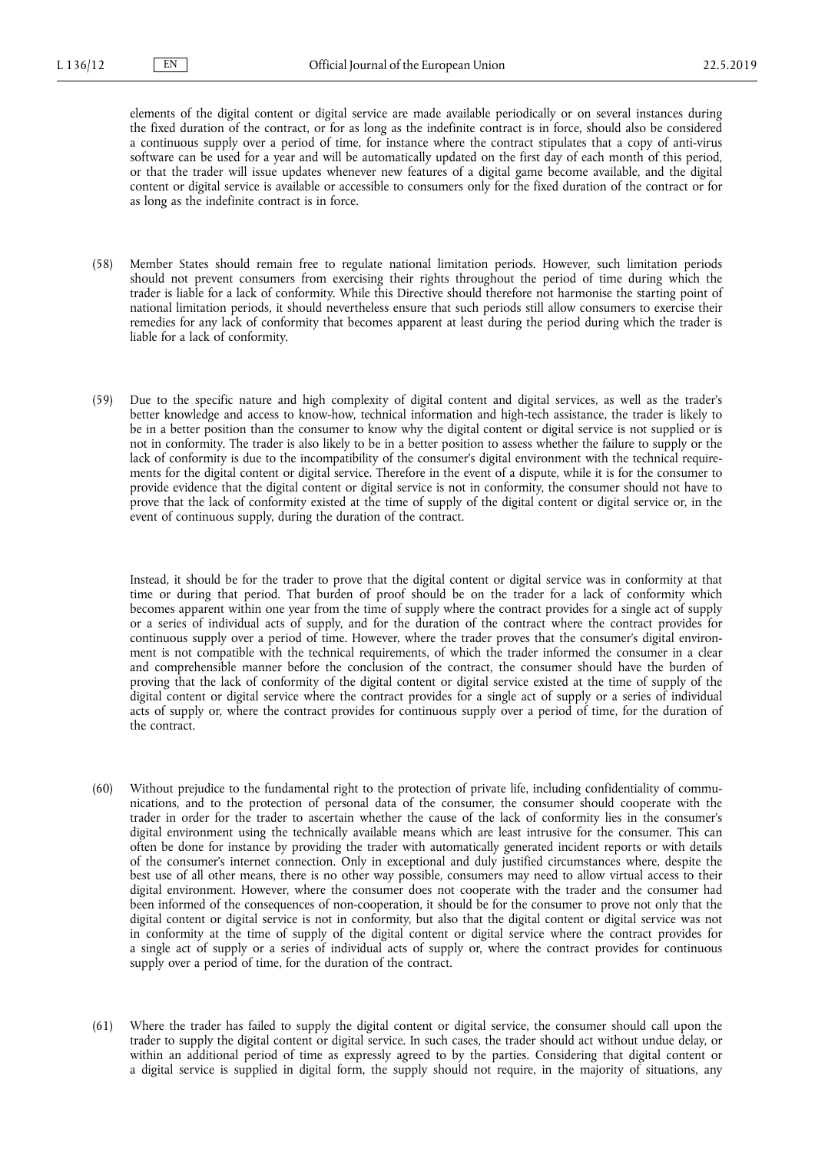elements of the digital content or digital service are made available periodically or on several instances during the fixed duration of the contract, or for as long as the indefinite contract is in force, should also be considered a continuous supply over a period of time, for instance where the contract stipulates that a copy of anti-virus software can be used for a year and will be automatically updated on the first day of each month of this period, or that the trader will issue updates whenever new features of a digital game become available, and the digital content or digital service is available or accessible to consumers only for the fixed duration of the contract or for as long as the indefinite contract is in force.

- (58) Member States should remain free to regulate national limitation periods. However, such limitation periods should not prevent consumers from exercising their rights throughout the period of time during which the trader is liable for a lack of conformity. While this Directive should therefore not harmonise the starting point of national limitation periods, it should nevertheless ensure that such periods still allow consumers to exercise their remedies for any lack of conformity that becomes apparent at least during the period during which the trader is liable for a lack of conformity.
- (59) Due to the specific nature and high complexity of digital content and digital services, as well as the trader's better knowledge and access to know-how, technical information and high-tech assistance, the trader is likely to be in a better position than the consumer to know why the digital content or digital service is not supplied or is not in conformity. The trader is also likely to be in a better position to assess whether the failure to supply or the lack of conformity is due to the incompatibility of the consumer's digital environment with the technical requirements for the digital content or digital service. Therefore in the event of a dispute, while it is for the consumer to provide evidence that the digital content or digital service is not in conformity, the consumer should not have to prove that the lack of conformity existed at the time of supply of the digital content or digital service or, in the event of continuous supply, during the duration of the contract.

Instead, it should be for the trader to prove that the digital content or digital service was in conformity at that time or during that period. That burden of proof should be on the trader for a lack of conformity which becomes apparent within one year from the time of supply where the contract provides for a single act of supply or a series of individual acts of supply, and for the duration of the contract where the contract provides for continuous supply over a period of time. However, where the trader proves that the consumer's digital environment is not compatible with the technical requirements, of which the trader informed the consumer in a clear and comprehensible manner before the conclusion of the contract, the consumer should have the burden of proving that the lack of conformity of the digital content or digital service existed at the time of supply of the digital content or digital service where the contract provides for a single act of supply or a series of individual acts of supply or, where the contract provides for continuous supply over a period of time, for the duration of the contract.

- (60) Without prejudice to the fundamental right to the protection of private life, including confidentiality of communications, and to the protection of personal data of the consumer, the consumer should cooperate with the trader in order for the trader to ascertain whether the cause of the lack of conformity lies in the consumer's digital environment using the technically available means which are least intrusive for the consumer. This can often be done for instance by providing the trader with automatically generated incident reports or with details of the consumer's internet connection. Only in exceptional and duly justified circumstances where, despite the best use of all other means, there is no other way possible, consumers may need to allow virtual access to their digital environment. However, where the consumer does not cooperate with the trader and the consumer had been informed of the consequences of non-cooperation, it should be for the consumer to prove not only that the digital content or digital service is not in conformity, but also that the digital content or digital service was not in conformity at the time of supply of the digital content or digital service where the contract provides for a single act of supply or a series of individual acts of supply or, where the contract provides for continuous supply over a period of time, for the duration of the contract.
- (61) Where the trader has failed to supply the digital content or digital service, the consumer should call upon the trader to supply the digital content or digital service. In such cases, the trader should act without undue delay, or within an additional period of time as expressly agreed to by the parties. Considering that digital content or a digital service is supplied in digital form, the supply should not require, in the majority of situations, any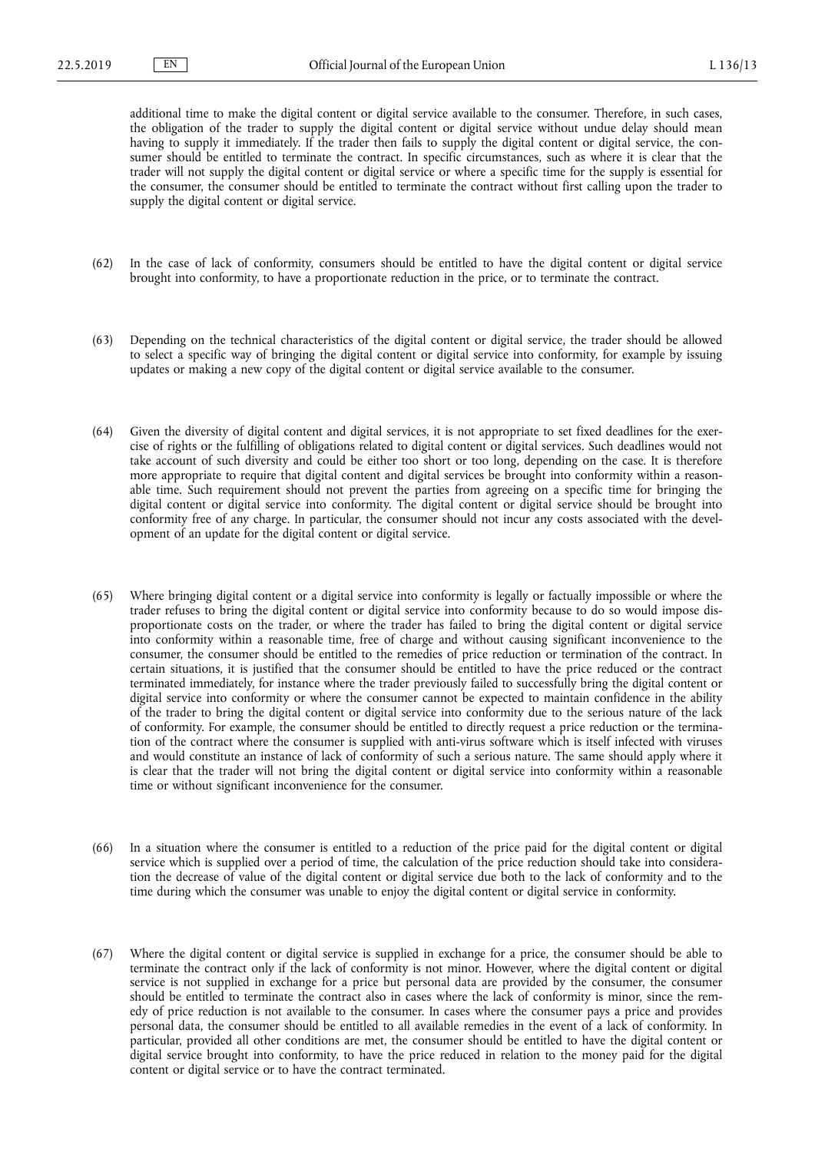additional time to make the digital content or digital service available to the consumer. Therefore, in such cases, the obligation of the trader to supply the digital content or digital service without undue delay should mean having to supply it immediately. If the trader then fails to supply the digital content or digital service, the consumer should be entitled to terminate the contract. In specific circumstances, such as where it is clear that the trader will not supply the digital content or digital service or where a specific time for the supply is essential for the consumer, the consumer should be entitled to terminate the contract without first calling upon the trader to supply the digital content or digital service.

- (62) In the case of lack of conformity, consumers should be entitled to have the digital content or digital service brought into conformity, to have a proportionate reduction in the price, or to terminate the contract.
- (63) Depending on the technical characteristics of the digital content or digital service, the trader should be allowed to select a specific way of bringing the digital content or digital service into conformity, for example by issuing updates or making a new copy of the digital content or digital service available to the consumer.
- (64) Given the diversity of digital content and digital services, it is not appropriate to set fixed deadlines for the exercise of rights or the fulfilling of obligations related to digital content or digital services. Such deadlines would not take account of such diversity and could be either too short or too long, depending on the case. It is therefore more appropriate to require that digital content and digital services be brought into conformity within a reasonable time. Such requirement should not prevent the parties from agreeing on a specific time for bringing the digital content or digital service into conformity. The digital content or digital service should be brought into conformity free of any charge. In particular, the consumer should not incur any costs associated with the development of an update for the digital content or digital service.
- (65) Where bringing digital content or a digital service into conformity is legally or factually impossible or where the trader refuses to bring the digital content or digital service into conformity because to do so would impose disproportionate costs on the trader, or where the trader has failed to bring the digital content or digital service into conformity within a reasonable time, free of charge and without causing significant inconvenience to the consumer, the consumer should be entitled to the remedies of price reduction or termination of the contract. In certain situations, it is justified that the consumer should be entitled to have the price reduced or the contract terminated immediately, for instance where the trader previously failed to successfully bring the digital content or digital service into conformity or where the consumer cannot be expected to maintain confidence in the ability of the trader to bring the digital content or digital service into conformity due to the serious nature of the lack of conformity. For example, the consumer should be entitled to directly request a price reduction or the termination of the contract where the consumer is supplied with anti-virus software which is itself infected with viruses and would constitute an instance of lack of conformity of such a serious nature. The same should apply where it is clear that the trader will not bring the digital content or digital service into conformity within a reasonable time or without significant inconvenience for the consumer.
- (66) In a situation where the consumer is entitled to a reduction of the price paid for the digital content or digital service which is supplied over a period of time, the calculation of the price reduction should take into consideration the decrease of value of the digital content or digital service due both to the lack of conformity and to the time during which the consumer was unable to enjoy the digital content or digital service in conformity.
- (67) Where the digital content or digital service is supplied in exchange for a price, the consumer should be able to terminate the contract only if the lack of conformity is not minor. However, where the digital content or digital service is not supplied in exchange for a price but personal data are provided by the consumer, the consumer should be entitled to terminate the contract also in cases where the lack of conformity is minor, since the remedy of price reduction is not available to the consumer. In cases where the consumer pays a price and provides personal data, the consumer should be entitled to all available remedies in the event of a lack of conformity. In particular, provided all other conditions are met, the consumer should be entitled to have the digital content or digital service brought into conformity, to have the price reduced in relation to the money paid for the digital content or digital service or to have the contract terminated.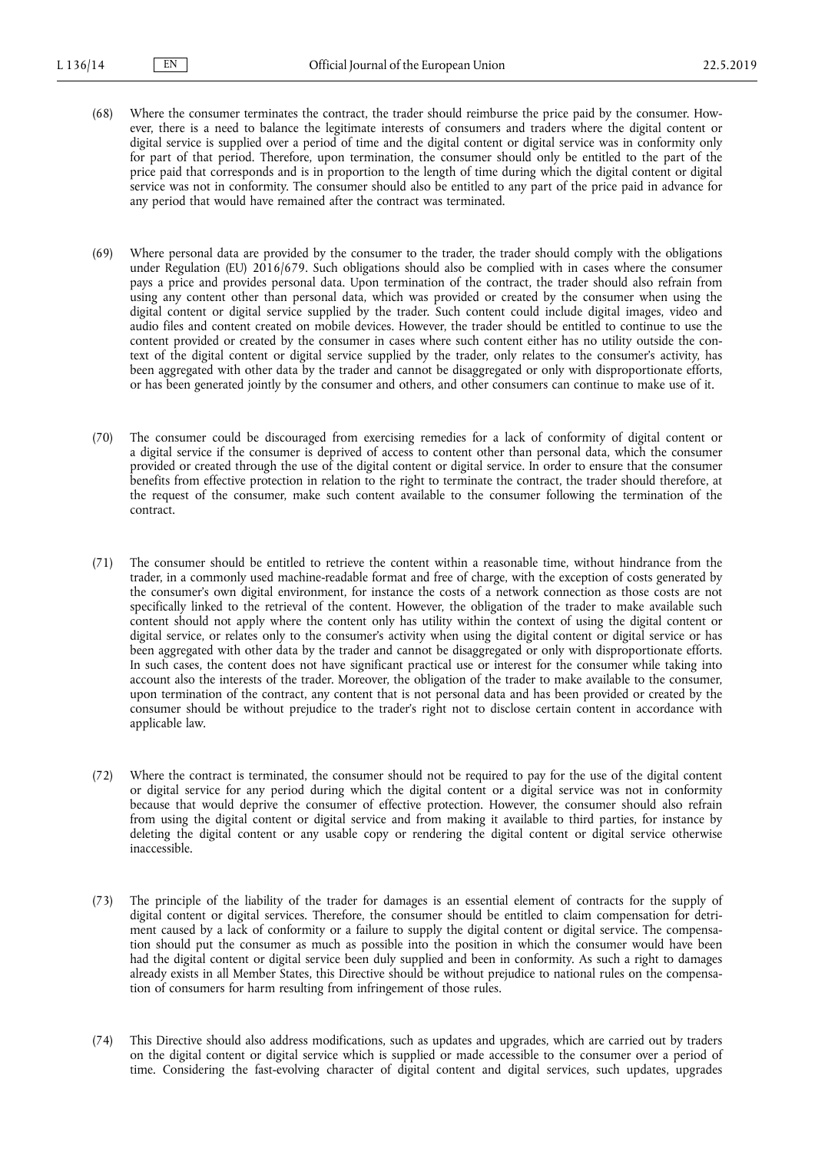- (68) Where the consumer terminates the contract, the trader should reimburse the price paid by the consumer. However, there is a need to balance the legitimate interests of consumers and traders where the digital content or digital service is supplied over a period of time and the digital content or digital service was in conformity only for part of that period. Therefore, upon termination, the consumer should only be entitled to the part of the price paid that corresponds and is in proportion to the length of time during which the digital content or digital service was not in conformity. The consumer should also be entitled to any part of the price paid in advance for any period that would have remained after the contract was terminated.
- (69) Where personal data are provided by the consumer to the trader, the trader should comply with the obligations under Regulation (EU) 2016/679. Such obligations should also be complied with in cases where the consumer pays a price and provides personal data. Upon termination of the contract, the trader should also refrain from using any content other than personal data, which was provided or created by the consumer when using the digital content or digital service supplied by the trader. Such content could include digital images, video and audio files and content created on mobile devices. However, the trader should be entitled to continue to use the content provided or created by the consumer in cases where such content either has no utility outside the context of the digital content or digital service supplied by the trader, only relates to the consumer's activity, has been aggregated with other data by the trader and cannot be disaggregated or only with disproportionate efforts, or has been generated jointly by the consumer and others, and other consumers can continue to make use of it.
- (70) The consumer could be discouraged from exercising remedies for a lack of conformity of digital content or a digital service if the consumer is deprived of access to content other than personal data, which the consumer provided or created through the use of the digital content or digital service. In order to ensure that the consumer benefits from effective protection in relation to the right to terminate the contract, the trader should therefore, at the request of the consumer, make such content available to the consumer following the termination of the contract.
- (71) The consumer should be entitled to retrieve the content within a reasonable time, without hindrance from the trader, in a commonly used machine-readable format and free of charge, with the exception of costs generated by the consumer's own digital environment, for instance the costs of a network connection as those costs are not specifically linked to the retrieval of the content. However, the obligation of the trader to make available such content should not apply where the content only has utility within the context of using the digital content or digital service, or relates only to the consumer's activity when using the digital content or digital service or has been aggregated with other data by the trader and cannot be disaggregated or only with disproportionate efforts. In such cases, the content does not have significant practical use or interest for the consumer while taking into account also the interests of the trader. Moreover, the obligation of the trader to make available to the consumer, upon termination of the contract, any content that is not personal data and has been provided or created by the consumer should be without prejudice to the trader's right not to disclose certain content in accordance with applicable law.
- (72) Where the contract is terminated, the consumer should not be required to pay for the use of the digital content or digital service for any period during which the digital content or a digital service was not in conformity because that would deprive the consumer of effective protection. However, the consumer should also refrain from using the digital content or digital service and from making it available to third parties, for instance by deleting the digital content or any usable copy or rendering the digital content or digital service otherwise inaccessible.
- (73) The principle of the liability of the trader for damages is an essential element of contracts for the supply of digital content or digital services. Therefore, the consumer should be entitled to claim compensation for detriment caused by a lack of conformity or a failure to supply the digital content or digital service. The compensation should put the consumer as much as possible into the position in which the consumer would have been had the digital content or digital service been duly supplied and been in conformity. As such a right to damages already exists in all Member States, this Directive should be without prejudice to national rules on the compensation of consumers for harm resulting from infringement of those rules.
- (74) This Directive should also address modifications, such as updates and upgrades, which are carried out by traders on the digital content or digital service which is supplied or made accessible to the consumer over a period of time. Considering the fast-evolving character of digital content and digital services, such updates, upgrades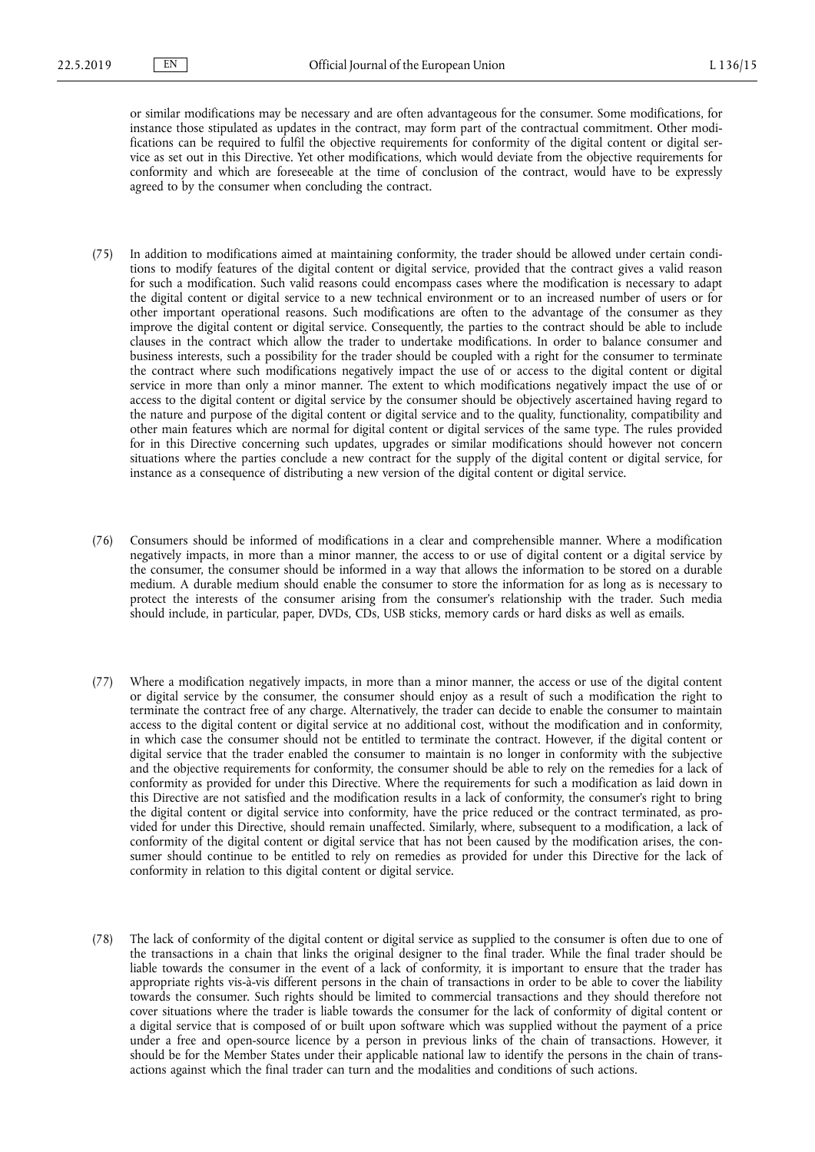or similar modifications may be necessary and are often advantageous for the consumer. Some modifications, for instance those stipulated as updates in the contract, may form part of the contractual commitment. Other modifications can be required to fulfil the objective requirements for conformity of the digital content or digital service as set out in this Directive. Yet other modifications, which would deviate from the objective requirements for conformity and which are foreseeable at the time of conclusion of the contract, would have to be expressly agreed to by the consumer when concluding the contract.

- (75) In addition to modifications aimed at maintaining conformity, the trader should be allowed under certain conditions to modify features of the digital content or digital service, provided that the contract gives a valid reason for such a modification. Such valid reasons could encompass cases where the modification is necessary to adapt the digital content or digital service to a new technical environment or to an increased number of users or for other important operational reasons. Such modifications are often to the advantage of the consumer as they improve the digital content or digital service. Consequently, the parties to the contract should be able to include clauses in the contract which allow the trader to undertake modifications. In order to balance consumer and business interests, such a possibility for the trader should be coupled with a right for the consumer to terminate the contract where such modifications negatively impact the use of or access to the digital content or digital service in more than only a minor manner. The extent to which modifications negatively impact the use of or access to the digital content or digital service by the consumer should be objectively ascertained having regard to the nature and purpose of the digital content or digital service and to the quality, functionality, compatibility and other main features which are normal for digital content or digital services of the same type. The rules provided for in this Directive concerning such updates, upgrades or similar modifications should however not concern situations where the parties conclude a new contract for the supply of the digital content or digital service, for instance as a consequence of distributing a new version of the digital content or digital service.
- (76) Consumers should be informed of modifications in a clear and comprehensible manner. Where a modification negatively impacts, in more than a minor manner, the access to or use of digital content or a digital service by the consumer, the consumer should be informed in a way that allows the information to be stored on a durable medium. A durable medium should enable the consumer to store the information for as long as is necessary to protect the interests of the consumer arising from the consumer's relationship with the trader. Such media should include, in particular, paper, DVDs, CDs, USB sticks, memory cards or hard disks as well as emails.
- (77) Where a modification negatively impacts, in more than a minor manner, the access or use of the digital content or digital service by the consumer, the consumer should enjoy as a result of such a modification the right to terminate the contract free of any charge. Alternatively, the trader can decide to enable the consumer to maintain access to the digital content or digital service at no additional cost, without the modification and in conformity, in which case the consumer should not be entitled to terminate the contract. However, if the digital content or digital service that the trader enabled the consumer to maintain is no longer in conformity with the subjective and the objective requirements for conformity, the consumer should be able to rely on the remedies for a lack of conformity as provided for under this Directive. Where the requirements for such a modification as laid down in this Directive are not satisfied and the modification results in a lack of conformity, the consumer's right to bring the digital content or digital service into conformity, have the price reduced or the contract terminated, as provided for under this Directive, should remain unaffected. Similarly, where, subsequent to a modification, a lack of conformity of the digital content or digital service that has not been caused by the modification arises, the consumer should continue to be entitled to rely on remedies as provided for under this Directive for the lack of conformity in relation to this digital content or digital service.
- (78) The lack of conformity of the digital content or digital service as supplied to the consumer is often due to one of the transactions in a chain that links the original designer to the final trader. While the final trader should be liable towards the consumer in the event of a lack of conformity, it is important to ensure that the trader has appropriate rights vis-à-vis different persons in the chain of transactions in order to be able to cover the liability towards the consumer. Such rights should be limited to commercial transactions and they should therefore not cover situations where the trader is liable towards the consumer for the lack of conformity of digital content or a digital service that is composed of or built upon software which was supplied without the payment of a price under a free and open-source licence by a person in previous links of the chain of transactions. However, it should be for the Member States under their applicable national law to identify the persons in the chain of transactions against which the final trader can turn and the modalities and conditions of such actions.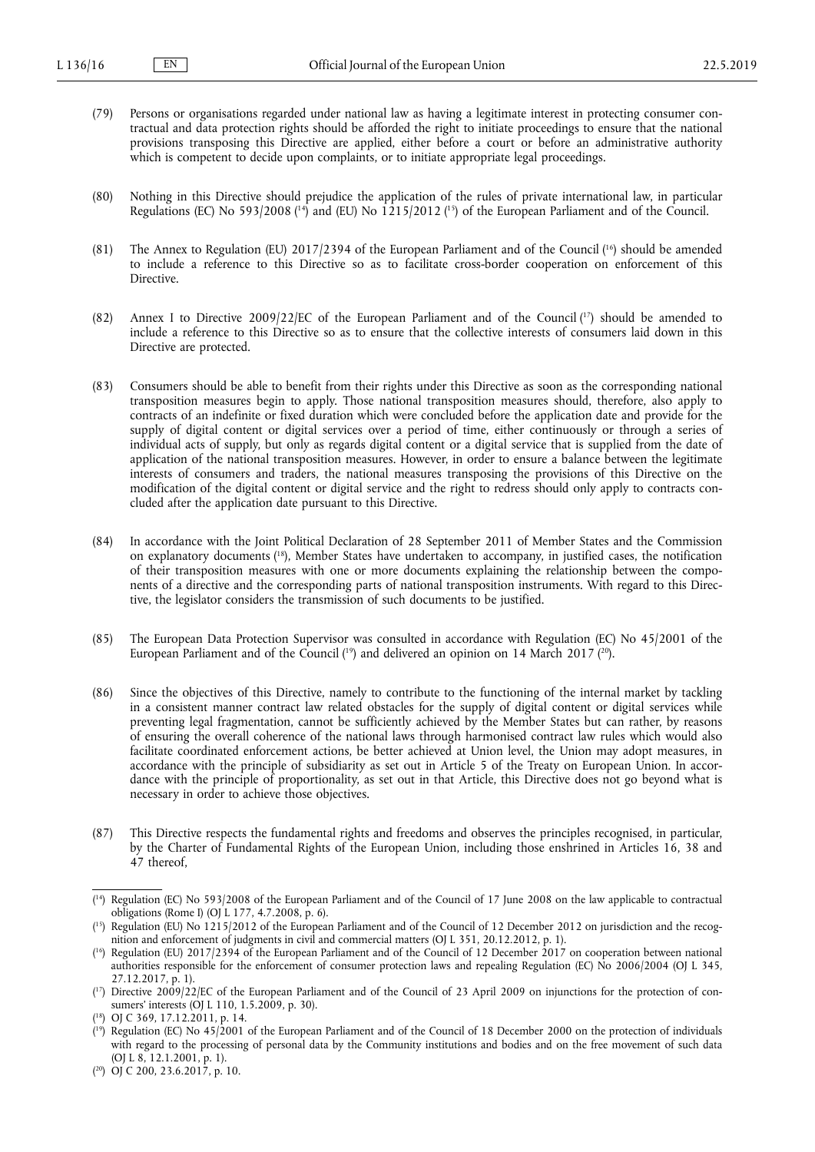- (79) Persons or organisations regarded under national law as having a legitimate interest in protecting consumer contractual and data protection rights should be afforded the right to initiate proceedings to ensure that the national provisions transposing this Directive are applied, either before a court or before an administrative authority which is competent to decide upon complaints, or to initiate appropriate legal proceedings.
- (80) Nothing in this Directive should prejudice the application of the rules of private international law, in particular Regulations (EC) No 593/2008 (<sup>14</sup>) and (EU) No 1215/2012 (<sup>15</sup>) of the European Parliament and of the Council.
- (81) The Annex to Regulation (EU)  $2017/2394$  of the European Parliament and of the Council (<sup>16</sup>) should be amended to include a reference to this Directive so as to facilitate cross-border cooperation on enforcement of this Directive.
- (82) Annex I to Directive 2009/22/EC of the European Parliament and of the Council  $(1^7)$  should be amended to include a reference to this Directive so as to ensure that the collective interests of consumers laid down in this Directive are protected.
- (83) Consumers should be able to benefit from their rights under this Directive as soon as the corresponding national transposition measures begin to apply. Those national transposition measures should, therefore, also apply to contracts of an indefinite or fixed duration which were concluded before the application date and provide for the supply of digital content or digital services over a period of time, either continuously or through a series of individual acts of supply, but only as regards digital content or a digital service that is supplied from the date of application of the national transposition measures. However, in order to ensure a balance between the legitimate interests of consumers and traders, the national measures transposing the provisions of this Directive on the modification of the digital content or digital service and the right to redress should only apply to contracts concluded after the application date pursuant to this Directive.
- (84) In accordance with the Joint Political Declaration of 28 September 2011 of Member States and the Commission on explanatory documents (<sup>18</sup>), Member States have undertaken to accompany, in justified cases, the notification of their transposition measures with one or more documents explaining the relationship between the components of a directive and the corresponding parts of national transposition instruments. With regard to this Directive, the legislator considers the transmission of such documents to be justified.
- (85) The European Data Protection Supervisor was consulted in accordance with Regulation (EC) No 45/2001 of the European Parliament and of the Council ( <sup>19</sup>) and delivered an opinion on 14 March 2017 ( <sup>20</sup>).
- (86) Since the objectives of this Directive, namely to contribute to the functioning of the internal market by tackling in a consistent manner contract law related obstacles for the supply of digital content or digital services while preventing legal fragmentation, cannot be sufficiently achieved by the Member States but can rather, by reasons of ensuring the overall coherence of the national laws through harmonised contract law rules which would also facilitate coordinated enforcement actions, be better achieved at Union level, the Union may adopt measures, in accordance with the principle of subsidiarity as set out in Article 5 of the Treaty on European Union. In accordance with the principle of proportionality, as set out in that Article, this Directive does not go beyond what is necessary in order to achieve those objectives.
- (87) This Directive respects the fundamental rights and freedoms and observes the principles recognised, in particular, by the Charter of Fundamental Rights of the European Union, including those enshrined in Articles 16, 38 and 47 thereof,

<sup>(</sup> <sup>14</sup>) Regulation (EC) No 593/2008 of the European Parliament and of the Council of 17 June 2008 on the law applicable to contractual obligations (Rome I) (OJ L 177, 4.7.2008, p. 6).

<sup>(</sup> <sup>15</sup>) Regulation (EU) No 1215/2012 of the European Parliament and of the Council of 12 December 2012 on jurisdiction and the recognition and enforcement of judgments in civil and commercial matters (OJ L 351, 20.12.2012, p. 1).

<sup>(</sup> <sup>16</sup>) Regulation (EU) 2017/2394 of the European Parliament and of the Council of 12 December 2017 on cooperation between national authorities responsible for the enforcement of consumer protection laws and repealing Regulation (EC) No 2006/2004 (OJ L 345, 27.12.2017, p. 1).

<sup>(</sup> <sup>17</sup>) Directive 2009/22/EC of the European Parliament and of the Council of 23 April 2009 on injunctions for the protection of consumers' interests (OJ L 110, 1.5.2009, p. 30).

<sup>(</sup> <sup>18</sup>) OJ C 369, 17.12.2011, p. 14.

<sup>(</sup> <sup>19</sup>) Regulation (EC) No 45/2001 of the European Parliament and of the Council of 18 December 2000 on the protection of individuals with regard to the processing of personal data by the Community institutions and bodies and on the free movement of such data (OJ L 8, 12.1.2001, p. 1).

<sup>(</sup> <sup>20</sup>) OJ C 200, 23.6.2017, p. 10.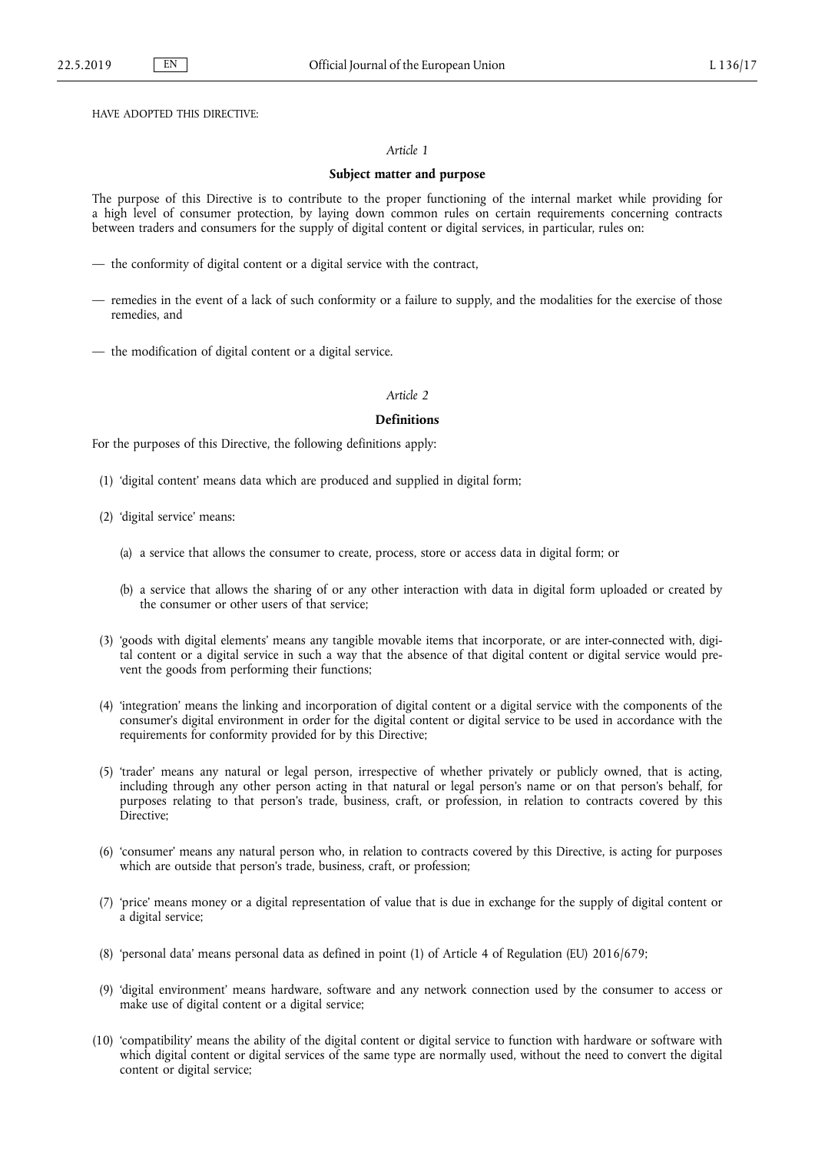## HAVE ADOPTED THIS DIRECTIVE:

## *Article 1*

## **Subject matter and purpose**

The purpose of this Directive is to contribute to the proper functioning of the internal market while providing for a high level of consumer protection, by laying down common rules on certain requirements concerning contracts between traders and consumers for the supply of digital content or digital services, in particular, rules on:

- the conformity of digital content or a digital service with the contract,
- remedies in the event of a lack of such conformity or a failure to supply, and the modalities for the exercise of those remedies, and
- the modification of digital content or a digital service.

# *Article 2*

#### **Definitions**

For the purposes of this Directive, the following definitions apply:

- (1) 'digital content' means data which are produced and supplied in digital form;
- (2) 'digital service' means:
	- (a) a service that allows the consumer to create, process, store or access data in digital form; or
	- (b) a service that allows the sharing of or any other interaction with data in digital form uploaded or created by the consumer or other users of that service;
- (3) 'goods with digital elements' means any tangible movable items that incorporate, or are inter-connected with, digital content or a digital service in such a way that the absence of that digital content or digital service would prevent the goods from performing their functions;
- (4) 'integration' means the linking and incorporation of digital content or a digital service with the components of the consumer's digital environment in order for the digital content or digital service to be used in accordance with the requirements for conformity provided for by this Directive;
- (5) 'trader' means any natural or legal person, irrespective of whether privately or publicly owned, that is acting, including through any other person acting in that natural or legal person's name or on that person's behalf, for purposes relating to that person's trade, business, craft, or profession, in relation to contracts covered by this Directive;
- (6) 'consumer' means any natural person who, in relation to contracts covered by this Directive, is acting for purposes which are outside that person's trade, business, craft, or profession;
- (7) 'price' means money or a digital representation of value that is due in exchange for the supply of digital content or a digital service;
- (8) 'personal data' means personal data as defined in point (1) of Article 4 of Regulation (EU) 2016/679;
- (9) 'digital environment' means hardware, software and any network connection used by the consumer to access or make use of digital content or a digital service;
- (10) 'compatibility' means the ability of the digital content or digital service to function with hardware or software with which digital content or digital services of the same type are normally used, without the need to convert the digital content or digital service;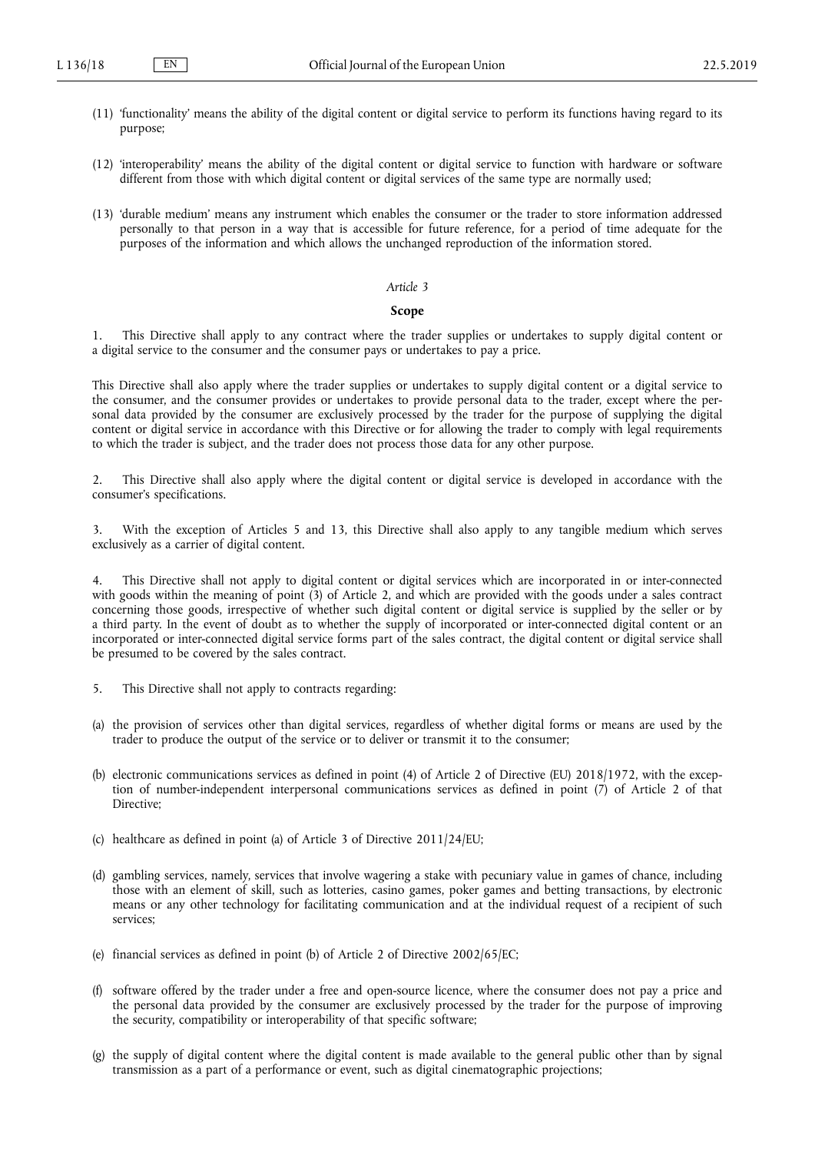- (11) 'functionality' means the ability of the digital content or digital service to perform its functions having regard to its purpose;
- (12) 'interoperability' means the ability of the digital content or digital service to function with hardware or software different from those with which digital content or digital services of the same type are normally used;
- (13) 'durable medium' means any instrument which enables the consumer or the trader to store information addressed personally to that person in a way that is accessible for future reference, for a period of time adequate for the purposes of the information and which allows the unchanged reproduction of the information stored.

#### *Article 3*

#### **Scope**

This Directive shall apply to any contract where the trader supplies or undertakes to supply digital content or a digital service to the consumer and the consumer pays or undertakes to pay a price.

This Directive shall also apply where the trader supplies or undertakes to supply digital content or a digital service to the consumer, and the consumer provides or undertakes to provide personal data to the trader, except where the personal data provided by the consumer are exclusively processed by the trader for the purpose of supplying the digital content or digital service in accordance with this Directive or for allowing the trader to comply with legal requirements to which the trader is subject, and the trader does not process those data for any other purpose.

2. This Directive shall also apply where the digital content or digital service is developed in accordance with the consumer's specifications.

3. With the exception of Articles 5 and 13, this Directive shall also apply to any tangible medium which serves exclusively as a carrier of digital content.

4. This Directive shall not apply to digital content or digital services which are incorporated in or inter-connected with goods within the meaning of point (3) of Article 2, and which are provided with the goods under a sales contract concerning those goods, irrespective of whether such digital content or digital service is supplied by the seller or by a third party. In the event of doubt as to whether the supply of incorporated or inter-connected digital content or an incorporated or inter-connected digital service forms part of the sales contract, the digital content or digital service shall be presumed to be covered by the sales contract.

- 5. This Directive shall not apply to contracts regarding:
- (a) the provision of services other than digital services, regardless of whether digital forms or means are used by the trader to produce the output of the service or to deliver or transmit it to the consumer;
- (b) electronic communications services as defined in point (4) of Article 2 of Directive (EU) 2018/1972, with the exception of number-independent interpersonal communications services as defined in point (7) of Article 2 of that Directive;
- (c) healthcare as defined in point (a) of Article 3 of Directive 2011/24/EU;
- (d) gambling services, namely, services that involve wagering a stake with pecuniary value in games of chance, including those with an element of skill, such as lotteries, casino games, poker games and betting transactions, by electronic means or any other technology for facilitating communication and at the individual request of a recipient of such services;
- (e) financial services as defined in point (b) of Article 2 of Directive 2002/65/EC;
- (f) software offered by the trader under a free and open-source licence, where the consumer does not pay a price and the personal data provided by the consumer are exclusively processed by the trader for the purpose of improving the security, compatibility or interoperability of that specific software;
- (g) the supply of digital content where the digital content is made available to the general public other than by signal transmission as a part of a performance or event, such as digital cinematographic projections;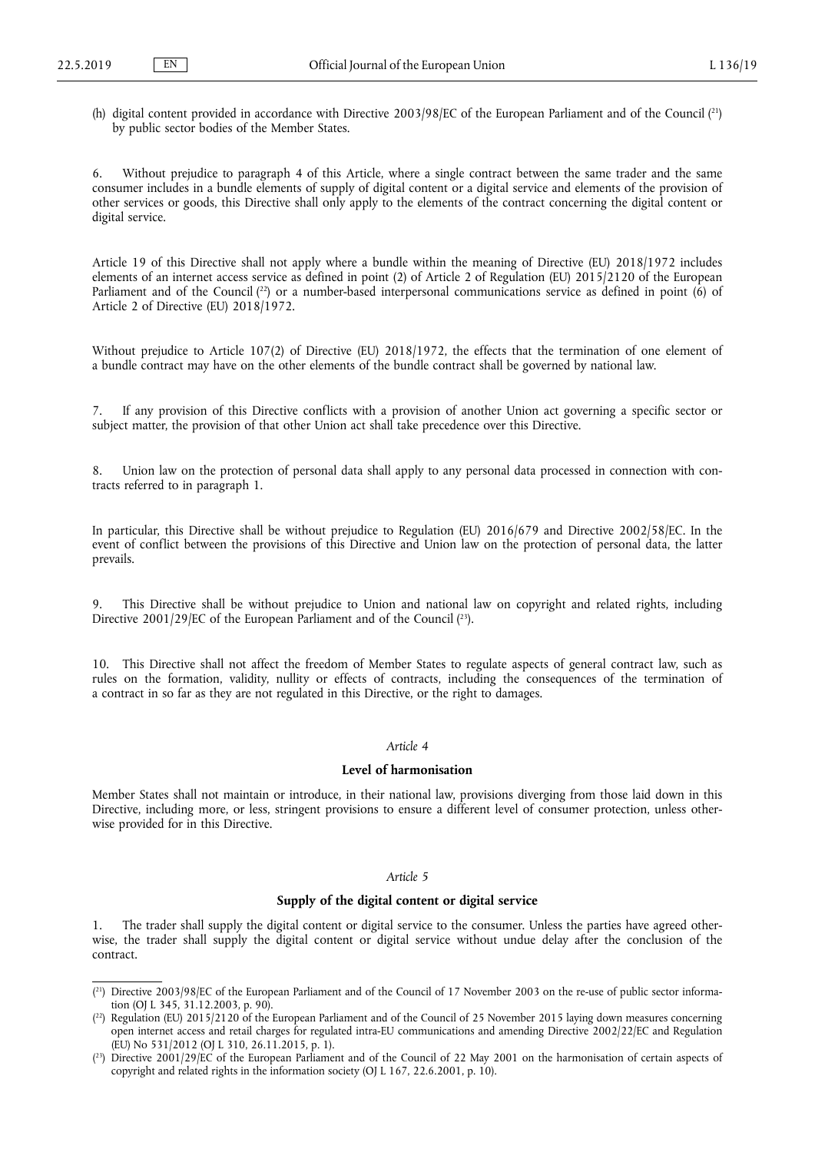(h) digital content provided in accordance with Directive 2003/98/EC of the European Parliament and of the Council  $\binom{21}{1}$ by public sector bodies of the Member States.

6. Without prejudice to paragraph 4 of this Article, where a single contract between the same trader and the same consumer includes in a bundle elements of supply of digital content or a digital service and elements of the provision of other services or goods, this Directive shall only apply to the elements of the contract concerning the digital content or digital service.

Article 19 of this Directive shall not apply where a bundle within the meaning of Directive (EU) 2018/1972 includes elements of an internet access service as defined in point (2) of Article 2 of Regulation (EU) 2015/2120 of the European Parliament and of the Council  $(^{22})$  or a number-based interpersonal communications service as defined in point  $(6)$  of Article 2 of Directive (EU) 2018/1972.

Without prejudice to Article 107(2) of Directive (EU) 2018/1972, the effects that the termination of one element of a bundle contract may have on the other elements of the bundle contract shall be governed by national law.

7. If any provision of this Directive conflicts with a provision of another Union act governing a specific sector or subject matter, the provision of that other Union act shall take precedence over this Directive.

8. Union law on the protection of personal data shall apply to any personal data processed in connection with contracts referred to in paragraph 1.

In particular, this Directive shall be without prejudice to Regulation (EU) 2016/679 and Directive 2002/58/EC. In the event of conflict between the provisions of this Directive and Union law on the protection of personal data, the latter prevails.

This Directive shall be without prejudice to Union and national law on copyright and related rights, including Directive 2001/29/EC of the European Parliament and of the Council (23).

10. This Directive shall not affect the freedom of Member States to regulate aspects of general contract law, such as rules on the formation, validity, nullity or effects of contracts, including the consequences of the termination of a contract in so far as they are not regulated in this Directive, or the right to damages.

## *Article 4*

## **Level of harmonisation**

Member States shall not maintain or introduce, in their national law, provisions diverging from those laid down in this Directive, including more, or less, stringent provisions to ensure a different level of consumer protection, unless otherwise provided for in this Directive.

## *Article 5*

## **Supply of the digital content or digital service**

The trader shall supply the digital content or digital service to the consumer. Unless the parties have agreed otherwise, the trader shall supply the digital content or digital service without undue delay after the conclusion of the contract.

 $(2<sup>1</sup>)$  Directive 2003/98/EC of the European Parliament and of the Council of 17 November 2003 on the re-use of public sector information (OJ L 345, 31.12.2003, p. 90).

 $(^{22})$  Regulation (EU) 2015/2120 of the European Parliament and of the Council of 25 November 2015 laying down measures concerning open internet access and retail charges for regulated intra-EU communications and amending Directive 2002/22/EC and Regulation  $(EU)$  No 531/2012 (OJ L 310, 26.11.2015, p. 1).

<sup>(</sup> <sup>23</sup>) Directive 2001/29/EC of the European Parliament and of the Council of 22 May 2001 on the harmonisation of certain aspects of copyright and related rights in the information society (OJ L 167, 22.6.2001, p. 10).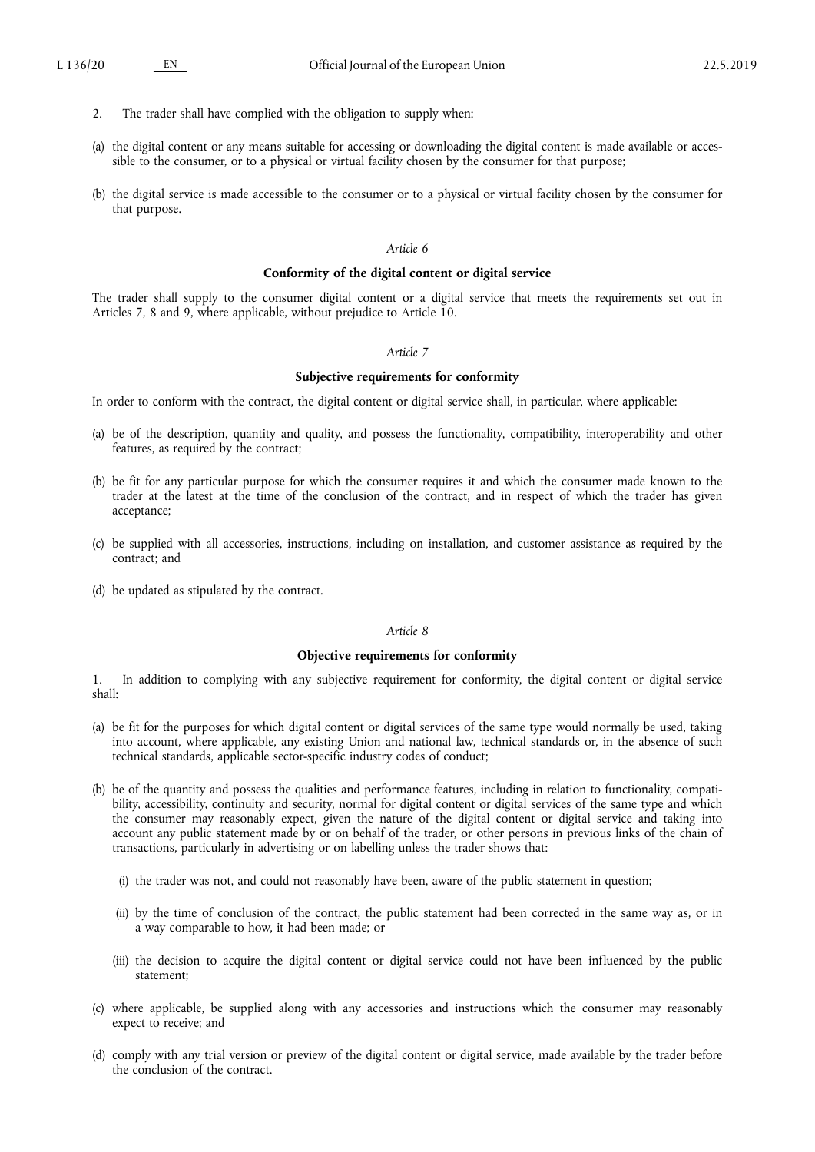- 2. The trader shall have complied with the obligation to supply when:
- (a) the digital content or any means suitable for accessing or downloading the digital content is made available or accessible to the consumer, or to a physical or virtual facility chosen by the consumer for that purpose;
- (b) the digital service is made accessible to the consumer or to a physical or virtual facility chosen by the consumer for that purpose.

# *Article 6*

#### **Conformity of the digital content or digital service**

The trader shall supply to the consumer digital content or a digital service that meets the requirements set out in Articles 7, 8 and 9, where applicable, without prejudice to Article 10.

#### *Article 7*

#### **Subjective requirements for conformity**

In order to conform with the contract, the digital content or digital service shall, in particular, where applicable:

- (a) be of the description, quantity and quality, and possess the functionality, compatibility, interoperability and other features, as required by the contract;
- (b) be fit for any particular purpose for which the consumer requires it and which the consumer made known to the trader at the latest at the time of the conclusion of the contract, and in respect of which the trader has given acceptance;
- (c) be supplied with all accessories, instructions, including on installation, and customer assistance as required by the contract; and
- (d) be updated as stipulated by the contract.

## *Article 8*

## **Objective requirements for conformity**

1. In addition to complying with any subjective requirement for conformity, the digital content or digital service shall:

- (a) be fit for the purposes for which digital content or digital services of the same type would normally be used, taking into account, where applicable, any existing Union and national law, technical standards or, in the absence of such technical standards, applicable sector-specific industry codes of conduct;
- (b) be of the quantity and possess the qualities and performance features, including in relation to functionality, compatibility, accessibility, continuity and security, normal for digital content or digital services of the same type and which the consumer may reasonably expect, given the nature of the digital content or digital service and taking into account any public statement made by or on behalf of the trader, or other persons in previous links of the chain of transactions, particularly in advertising or on labelling unless the trader shows that:
	- (i) the trader was not, and could not reasonably have been, aware of the public statement in question;
	- (ii) by the time of conclusion of the contract, the public statement had been corrected in the same way as, or in a way comparable to how, it had been made; or
	- (iii) the decision to acquire the digital content or digital service could not have been influenced by the public statement;
- (c) where applicable, be supplied along with any accessories and instructions which the consumer may reasonably expect to receive; and
- (d) comply with any trial version or preview of the digital content or digital service, made available by the trader before the conclusion of the contract.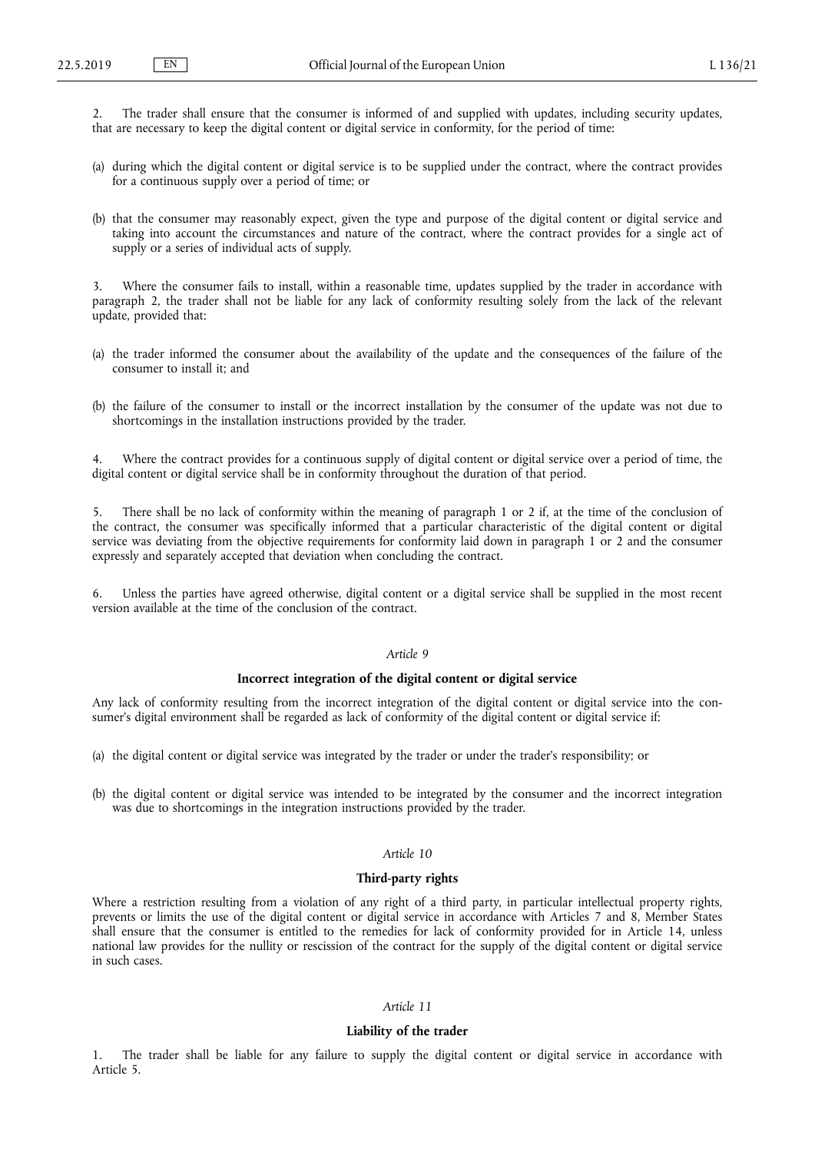2. The trader shall ensure that the consumer is informed of and supplied with updates, including security updates, that are necessary to keep the digital content or digital service in conformity, for the period of time:

- (a) during which the digital content or digital service is to be supplied under the contract, where the contract provides for a continuous supply over a period of time; or
- (b) that the consumer may reasonably expect, given the type and purpose of the digital content or digital service and taking into account the circumstances and nature of the contract, where the contract provides for a single act of supply or a series of individual acts of supply.

3. Where the consumer fails to install, within a reasonable time, updates supplied by the trader in accordance with paragraph 2, the trader shall not be liable for any lack of conformity resulting solely from the lack of the relevant update, provided that:

- (a) the trader informed the consumer about the availability of the update and the consequences of the failure of the consumer to install it; and
- (b) the failure of the consumer to install or the incorrect installation by the consumer of the update was not due to shortcomings in the installation instructions provided by the trader.

Where the contract provides for a continuous supply of digital content or digital service over a period of time, the digital content or digital service shall be in conformity throughout the duration of that period.

5. There shall be no lack of conformity within the meaning of paragraph 1 or 2 if, at the time of the conclusion of the contract, the consumer was specifically informed that a particular characteristic of the digital content or digital service was deviating from the objective requirements for conformity laid down in paragraph 1 or 2 and the consumer expressly and separately accepted that deviation when concluding the contract.

6. Unless the parties have agreed otherwise, digital content or a digital service shall be supplied in the most recent version available at the time of the conclusion of the contract.

### *Article 9*

#### **Incorrect integration of the digital content or digital service**

Any lack of conformity resulting from the incorrect integration of the digital content or digital service into the consumer's digital environment shall be regarded as lack of conformity of the digital content or digital service if:

- (a) the digital content or digital service was integrated by the trader or under the trader's responsibility; or
- (b) the digital content or digital service was intended to be integrated by the consumer and the incorrect integration was due to shortcomings in the integration instructions provided by the trader.

# *Article 10*

## **Third-party rights**

Where a restriction resulting from a violation of any right of a third party, in particular intellectual property rights, prevents or limits the use of the digital content or digital service in accordance with Articles 7 and 8, Member States shall ensure that the consumer is entitled to the remedies for lack of conformity provided for in Article 14, unless national law provides for the nullity or rescission of the contract for the supply of the digital content or digital service in such cases.

#### *Article 11*

## **Liability of the trader**

1. The trader shall be liable for any failure to supply the digital content or digital service in accordance with Article 5.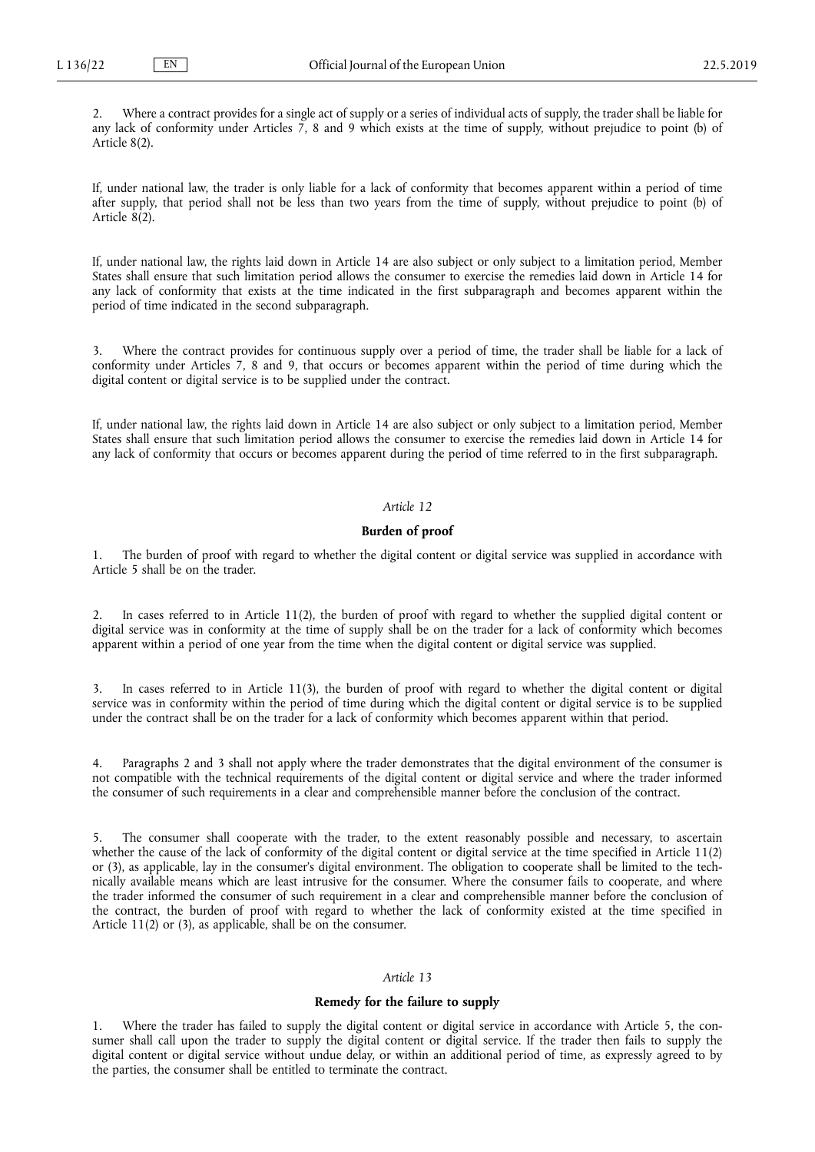2. Where a contract provides for a single act of supply or a series of individual acts of supply, the trader shall be liable for any lack of conformity under Articles 7, 8 and 9 which exists at the time of supply, without prejudice to point (b) of Article 8(2).

If, under national law, the trader is only liable for a lack of conformity that becomes apparent within a period of time after supply, that period shall not be less than two years from the time of supply, without prejudice to point (b) of Article 8(2).

If, under national law, the rights laid down in Article 14 are also subject or only subject to a limitation period, Member States shall ensure that such limitation period allows the consumer to exercise the remedies laid down in Article 14 for any lack of conformity that exists at the time indicated in the first subparagraph and becomes apparent within the period of time indicated in the second subparagraph.

3. Where the contract provides for continuous supply over a period of time, the trader shall be liable for a lack of conformity under Articles 7, 8 and 9, that occurs or becomes apparent within the period of time during which the digital content or digital service is to be supplied under the contract.

If, under national law, the rights laid down in Article 14 are also subject or only subject to a limitation period, Member States shall ensure that such limitation period allows the consumer to exercise the remedies laid down in Article 14 for any lack of conformity that occurs or becomes apparent during the period of time referred to in the first subparagraph.

## *Article 12*

# **Burden of proof**

1. The burden of proof with regard to whether the digital content or digital service was supplied in accordance with Article 5 shall be on the trader.

2. In cases referred to in Article 11(2), the burden of proof with regard to whether the supplied digital content or digital service was in conformity at the time of supply shall be on the trader for a lack of conformity which becomes apparent within a period of one year from the time when the digital content or digital service was supplied.

3. In cases referred to in Article 11(3), the burden of proof with regard to whether the digital content or digital service was in conformity within the period of time during which the digital content or digital service is to be supplied under the contract shall be on the trader for a lack of conformity which becomes apparent within that period.

4. Paragraphs 2 and 3 shall not apply where the trader demonstrates that the digital environment of the consumer is not compatible with the technical requirements of the digital content or digital service and where the trader informed the consumer of such requirements in a clear and comprehensible manner before the conclusion of the contract.

5. The consumer shall cooperate with the trader, to the extent reasonably possible and necessary, to ascertain whether the cause of the lack of conformity of the digital content or digital service at the time specified in Article 11(2) or (3), as applicable, lay in the consumer's digital environment. The obligation to cooperate shall be limited to the technically available means which are least intrusive for the consumer. Where the consumer fails to cooperate, and where the trader informed the consumer of such requirement in a clear and comprehensible manner before the conclusion of the contract, the burden of proof with regard to whether the lack of conformity existed at the time specified in Article 11(2) or (3), as applicable, shall be on the consumer.

#### *Article 13*

#### **Remedy for the failure to supply**

Where the trader has failed to supply the digital content or digital service in accordance with Article 5, the consumer shall call upon the trader to supply the digital content or digital service. If the trader then fails to supply the digital content or digital service without undue delay, or within an additional period of time, as expressly agreed to by the parties, the consumer shall be entitled to terminate the contract.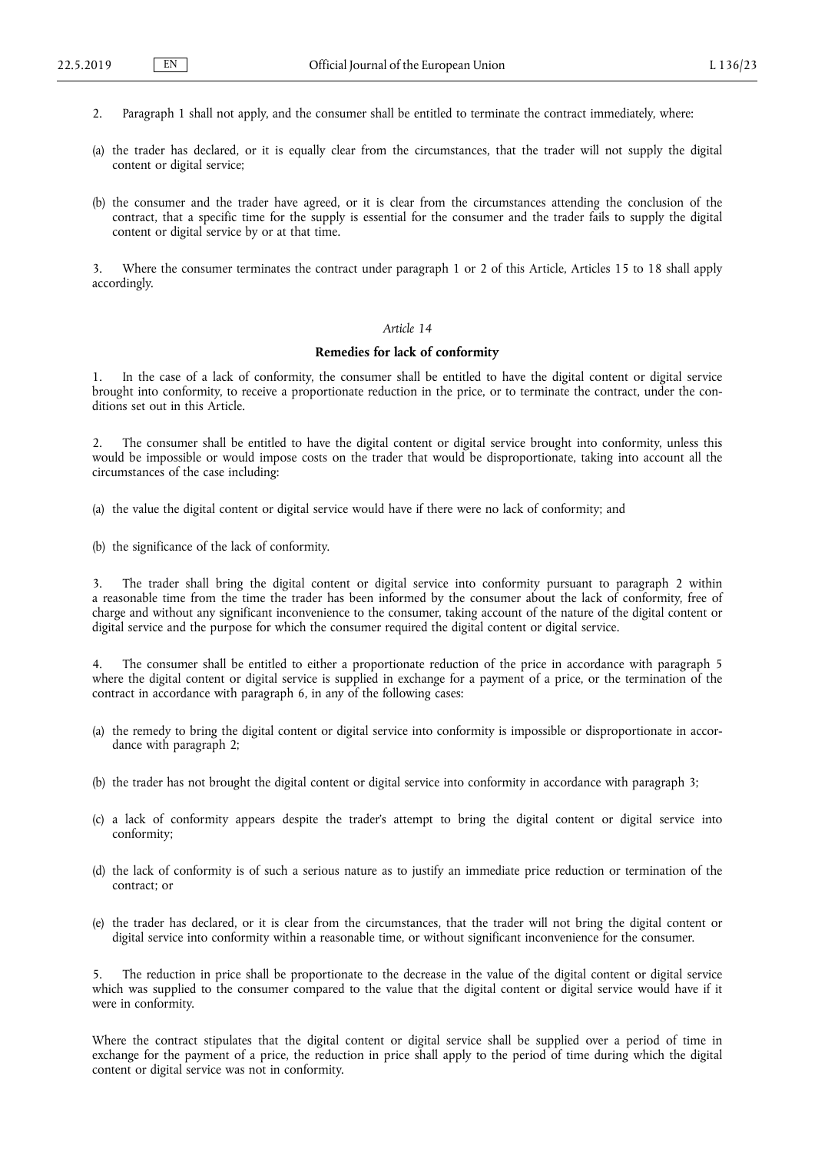- 2. Paragraph 1 shall not apply, and the consumer shall be entitled to terminate the contract immediately, where:
- (a) the trader has declared, or it is equally clear from the circumstances, that the trader will not supply the digital content or digital service;
- (b) the consumer and the trader have agreed, or it is clear from the circumstances attending the conclusion of the contract, that a specific time for the supply is essential for the consumer and the trader fails to supply the digital content or digital service by or at that time.

3. Where the consumer terminates the contract under paragraph 1 or 2 of this Article, Articles 15 to 18 shall apply accordingly.

## *Article 14*

## **Remedies for lack of conformity**

1. In the case of a lack of conformity, the consumer shall be entitled to have the digital content or digital service brought into conformity, to receive a proportionate reduction in the price, or to terminate the contract, under the conditions set out in this Article.

2. The consumer shall be entitled to have the digital content or digital service brought into conformity, unless this would be impossible or would impose costs on the trader that would be disproportionate, taking into account all the circumstances of the case including:

(a) the value the digital content or digital service would have if there were no lack of conformity; and

(b) the significance of the lack of conformity.

3. The trader shall bring the digital content or digital service into conformity pursuant to paragraph 2 within a reasonable time from the time the trader has been informed by the consumer about the lack of conformity, free of charge and without any significant inconvenience to the consumer, taking account of the nature of the digital content or digital service and the purpose for which the consumer required the digital content or digital service.

The consumer shall be entitled to either a proportionate reduction of the price in accordance with paragraph 5 where the digital content or digital service is supplied in exchange for a payment of a price, or the termination of the contract in accordance with paragraph 6, in any of the following cases:

- (a) the remedy to bring the digital content or digital service into conformity is impossible or disproportionate in accordance with paragraph 2;
- (b) the trader has not brought the digital content or digital service into conformity in accordance with paragraph 3;
- (c) a lack of conformity appears despite the trader's attempt to bring the digital content or digital service into conformity;
- (d) the lack of conformity is of such a serious nature as to justify an immediate price reduction or termination of the contract; or
- (e) the trader has declared, or it is clear from the circumstances, that the trader will not bring the digital content or digital service into conformity within a reasonable time, or without significant inconvenience for the consumer.

5. The reduction in price shall be proportionate to the decrease in the value of the digital content or digital service which was supplied to the consumer compared to the value that the digital content or digital service would have if it were in conformity.

Where the contract stipulates that the digital content or digital service shall be supplied over a period of time in exchange for the payment of a price, the reduction in price shall apply to the period of time during which the digital content or digital service was not in conformity.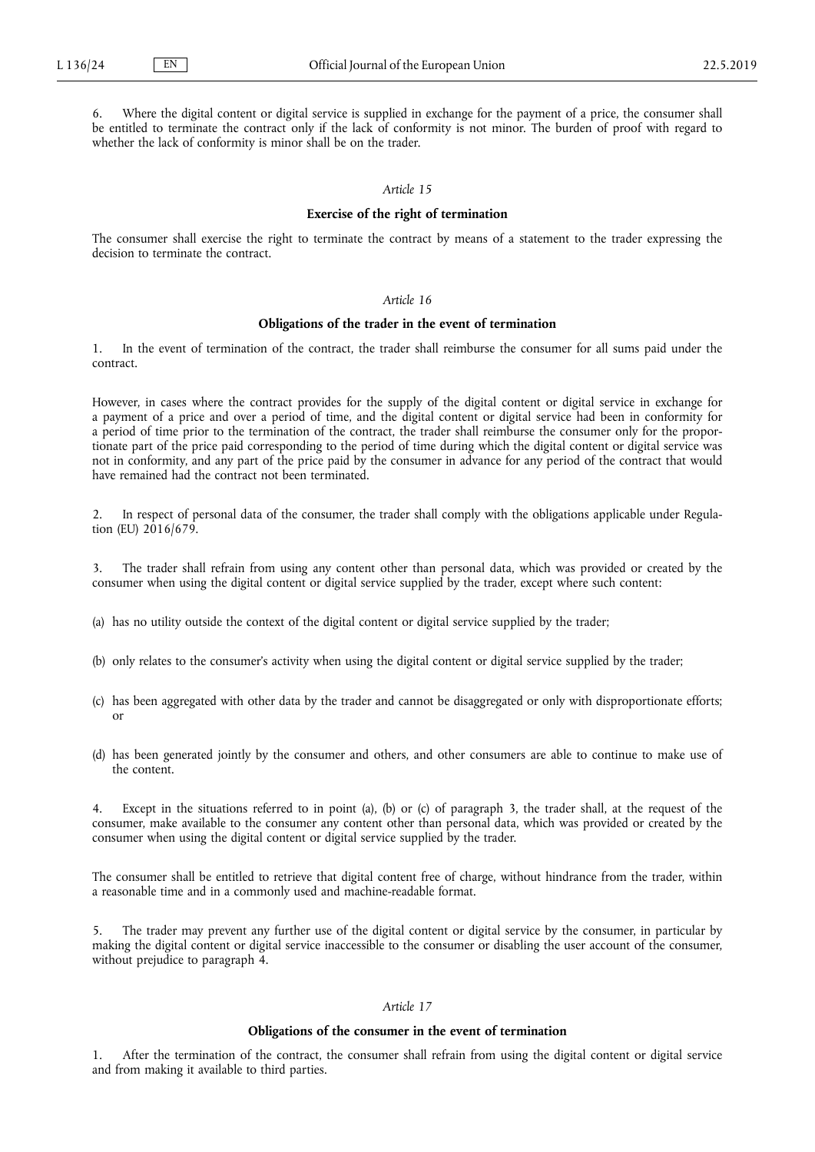6. Where the digital content or digital service is supplied in exchange for the payment of a price, the consumer shall be entitled to terminate the contract only if the lack of conformity is not minor. The burden of proof with regard to whether the lack of conformity is minor shall be on the trader.

## *Article 15*

#### **Exercise of the right of termination**

The consumer shall exercise the right to terminate the contract by means of a statement to the trader expressing the decision to terminate the contract.

# *Article 16*

## **Obligations of the trader in the event of termination**

1. In the event of termination of the contract, the trader shall reimburse the consumer for all sums paid under the contract.

However, in cases where the contract provides for the supply of the digital content or digital service in exchange for a payment of a price and over a period of time, and the digital content or digital service had been in conformity for a period of time prior to the termination of the contract, the trader shall reimburse the consumer only for the proportionate part of the price paid corresponding to the period of time during which the digital content or digital service was not in conformity, and any part of the price paid by the consumer in advance for any period of the contract that would have remained had the contract not been terminated.

2. In respect of personal data of the consumer, the trader shall comply with the obligations applicable under Regulation (EU)  $2016/679$ .

3. The trader shall refrain from using any content other than personal data, which was provided or created by the consumer when using the digital content or digital service supplied by the trader, except where such content:

(a) has no utility outside the context of the digital content or digital service supplied by the trader;

- (b) only relates to the consumer's activity when using the digital content or digital service supplied by the trader;
- (c) has been aggregated with other data by the trader and cannot be disaggregated or only with disproportionate efforts; or
- (d) has been generated jointly by the consumer and others, and other consumers are able to continue to make use of the content.

4. Except in the situations referred to in point (a), (b) or (c) of paragraph 3, the trader shall, at the request of the consumer, make available to the consumer any content other than personal data, which was provided or created by the consumer when using the digital content or digital service supplied by the trader.

The consumer shall be entitled to retrieve that digital content free of charge, without hindrance from the trader, within a reasonable time and in a commonly used and machine-readable format.

5. The trader may prevent any further use of the digital content or digital service by the consumer, in particular by making the digital content or digital service inaccessible to the consumer or disabling the user account of the consumer, without prejudice to paragraph 4.

#### *Article 17*

#### **Obligations of the consumer in the event of termination**

After the termination of the contract, the consumer shall refrain from using the digital content or digital service and from making it available to third parties.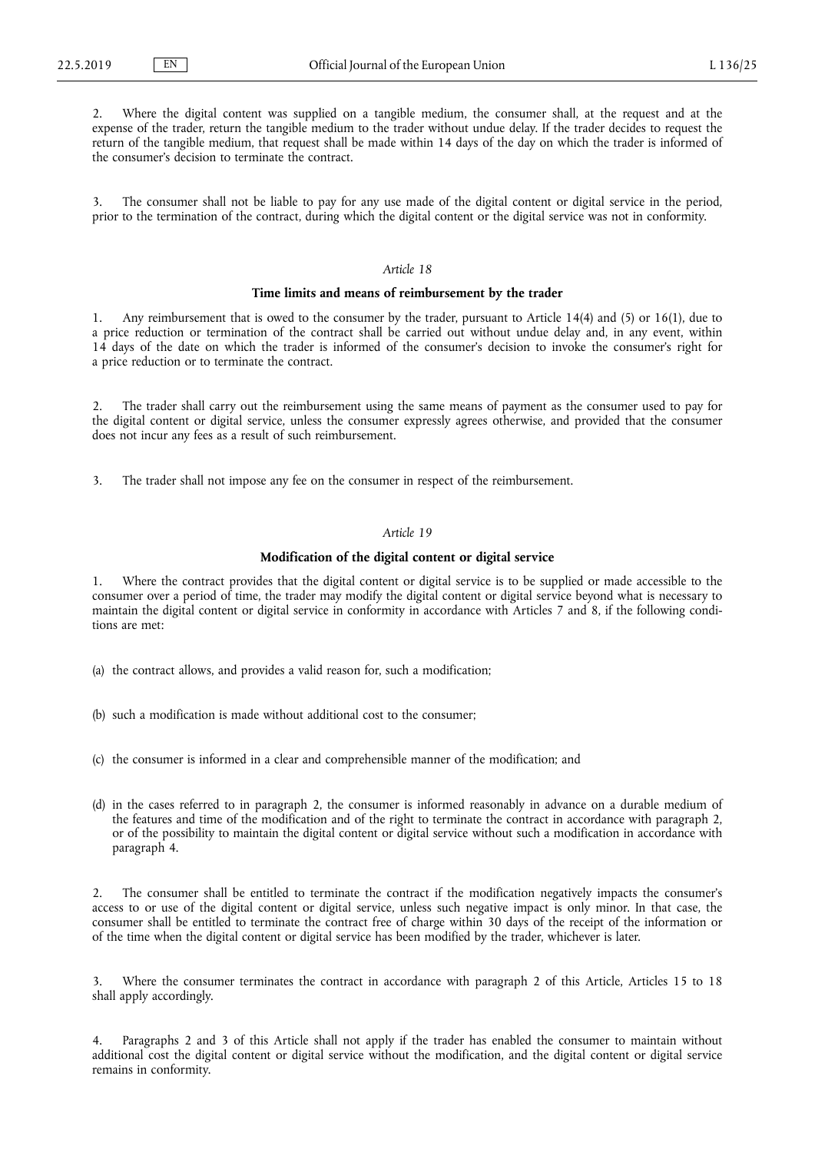2. Where the digital content was supplied on a tangible medium, the consumer shall, at the request and at the expense of the trader, return the tangible medium to the trader without undue delay. If the trader decides to request the return of the tangible medium, that request shall be made within 14 days of the day on which the trader is informed of the consumer's decision to terminate the contract.

3. The consumer shall not be liable to pay for any use made of the digital content or digital service in the period, prior to the termination of the contract, during which the digital content or the digital service was not in conformity.

#### *Article 18*

## **Time limits and means of reimbursement by the trader**

1. Any reimbursement that is owed to the consumer by the trader, pursuant to Article 14(4) and (5) or 16(1), due to a price reduction or termination of the contract shall be carried out without undue delay and, in any event, within 14 days of the date on which the trader is informed of the consumer's decision to invoke the consumer's right for a price reduction or to terminate the contract.

2. The trader shall carry out the reimbursement using the same means of payment as the consumer used to pay for the digital content or digital service, unless the consumer expressly agrees otherwise, and provided that the consumer does not incur any fees as a result of such reimbursement.

3. The trader shall not impose any fee on the consumer in respect of the reimbursement.

## *Article 19*

#### **Modification of the digital content or digital service**

1. Where the contract provides that the digital content or digital service is to be supplied or made accessible to the consumer over a period of time, the trader may modify the digital content or digital service beyond what is necessary to maintain the digital content or digital service in conformity in accordance with Articles 7 and 8, if the following conditions are met:

(a) the contract allows, and provides a valid reason for, such a modification;

(b) such a modification is made without additional cost to the consumer;

(c) the consumer is informed in a clear and comprehensible manner of the modification; and

(d) in the cases referred to in paragraph 2, the consumer is informed reasonably in advance on a durable medium of the features and time of the modification and of the right to terminate the contract in accordance with paragraph 2, or of the possibility to maintain the digital content or digital service without such a modification in accordance with paragraph 4.

2. The consumer shall be entitled to terminate the contract if the modification negatively impacts the consumer's access to or use of the digital content or digital service, unless such negative impact is only minor. In that case, the consumer shall be entitled to terminate the contract free of charge within 30 days of the receipt of the information or of the time when the digital content or digital service has been modified by the trader, whichever is later.

3. Where the consumer terminates the contract in accordance with paragraph 2 of this Article, Articles 15 to 18 shall apply accordingly.

4. Paragraphs 2 and 3 of this Article shall not apply if the trader has enabled the consumer to maintain without additional cost the digital content or digital service without the modification, and the digital content or digital service remains in conformity.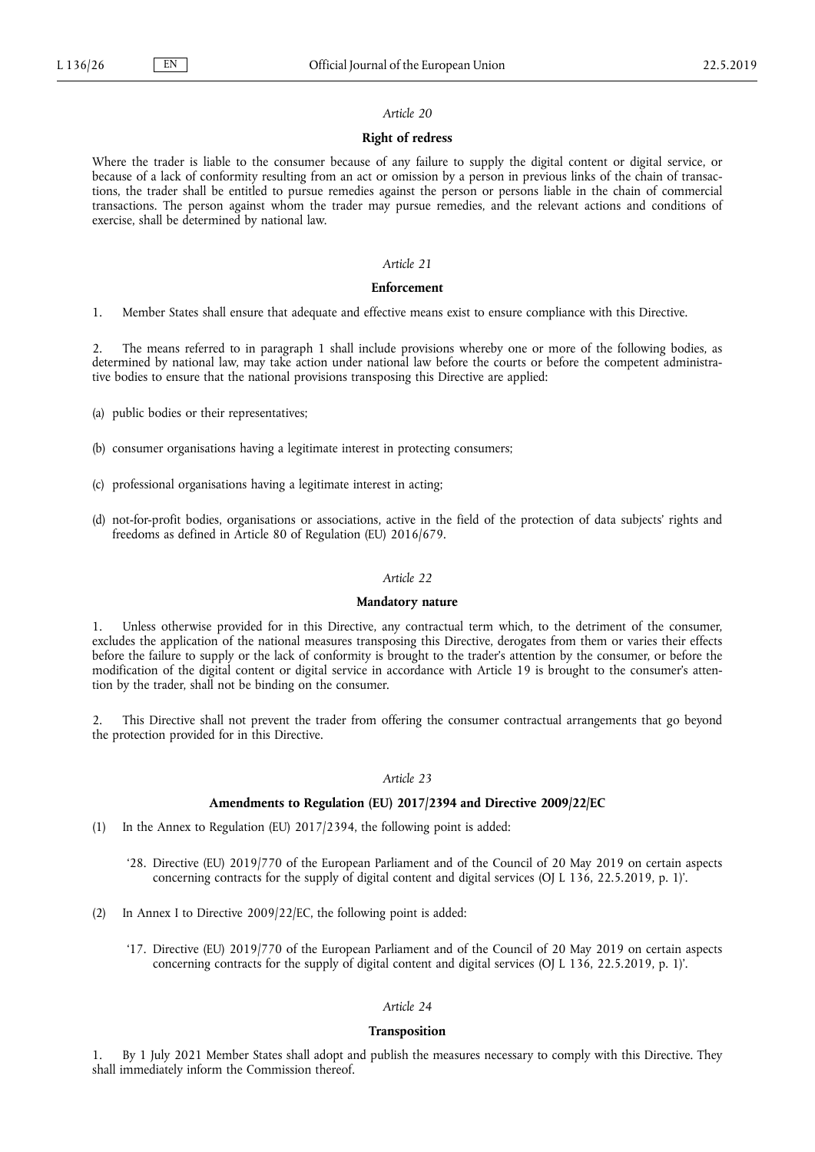# *Article 20*

## **Right of redress**

Where the trader is liable to the consumer because of any failure to supply the digital content or digital service, or because of a lack of conformity resulting from an act or omission by a person in previous links of the chain of transactions, the trader shall be entitled to pursue remedies against the person or persons liable in the chain of commercial transactions. The person against whom the trader may pursue remedies, and the relevant actions and conditions of exercise, shall be determined by national law.

## *Article 21*

#### **Enforcement**

1. Member States shall ensure that adequate and effective means exist to ensure compliance with this Directive.

2. The means referred to in paragraph 1 shall include provisions whereby one or more of the following bodies, as determined by national law, may take action under national law before the courts or before the competent administrative bodies to ensure that the national provisions transposing this Directive are applied:

(a) public bodies or their representatives;

- (b) consumer organisations having a legitimate interest in protecting consumers;
- (c) professional organisations having a legitimate interest in acting;
- (d) not-for-profit bodies, organisations or associations, active in the field of the protection of data subjects' rights and freedoms as defined in Article 80 of Regulation (EU) 2016/679.

## *Article 22*

#### **Mandatory nature**

1. Unless otherwise provided for in this Directive, any contractual term which, to the detriment of the consumer, excludes the application of the national measures transposing this Directive, derogates from them or varies their effects before the failure to supply or the lack of conformity is brought to the trader's attention by the consumer, or before the modification of the digital content or digital service in accordance with Article 19 is brought to the consumer's attention by the trader, shall not be binding on the consumer.

2. This Directive shall not prevent the trader from offering the consumer contractual arrangements that go beyond the protection provided for in this Directive.

## *Article 23*

## **Amendments to Regulation (EU) 2017/2394 and Directive 2009/22/EC**

- (1) In the Annex to Regulation (EU) 2017/2394, the following point is added:
	- '28. Directive (EU) 2019/770 of the European Parliament and of the Council of 20 May 2019 on certain aspects concerning contracts for the supply of digital content and digital services (OJ L 136, 22.5.2019, p. 1)'.
- (2) In Annex I to Directive 2009/22/EC, the following point is added:
	- '17. Directive (EU) 2019/770 of the European Parliament and of the Council of 20 May 2019 on certain aspects concerning contracts for the supply of digital content and digital services (OJ L 136, 22.5.2019, p. 1)'.

#### *Article 24*

#### **Transposition**

1. By 1 July 2021 Member States shall adopt and publish the measures necessary to comply with this Directive. They shall immediately inform the Commission thereof.